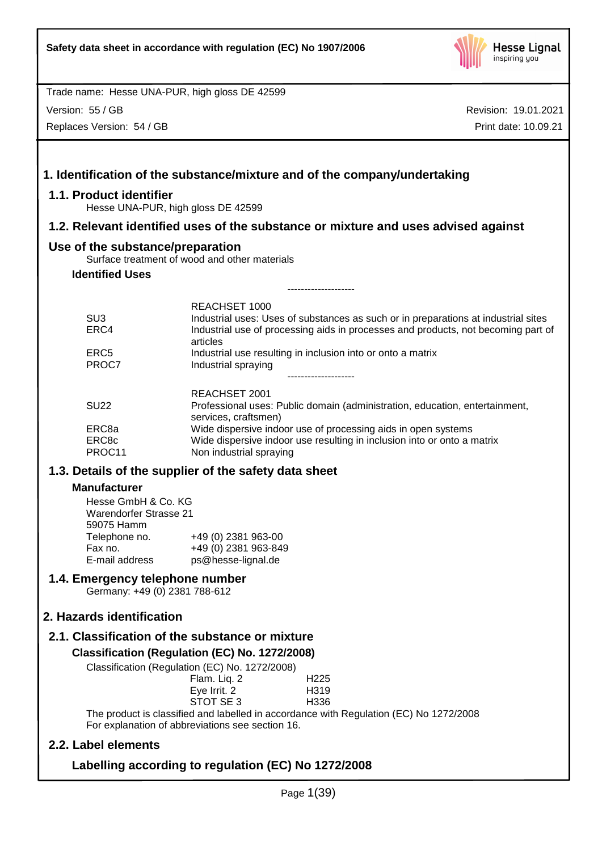

Version: 55 / GB

Replaces Version: 54 / GB

| 1.1. Product identifier                                                                                                                    | 1. Identification of the substance/mixture and of the company/undertaking                                                                                                           |  |  |  |  |
|--------------------------------------------------------------------------------------------------------------------------------------------|-------------------------------------------------------------------------------------------------------------------------------------------------------------------------------------|--|--|--|--|
|                                                                                                                                            | Hesse UNA-PUR, high gloss DE 42599                                                                                                                                                  |  |  |  |  |
|                                                                                                                                            | 1.2. Relevant identified uses of the substance or mixture and uses advised against                                                                                                  |  |  |  |  |
| Use of the substance/preparation                                                                                                           | Surface treatment of wood and other materials                                                                                                                                       |  |  |  |  |
| <b>Identified Uses</b>                                                                                                                     |                                                                                                                                                                                     |  |  |  |  |
|                                                                                                                                            |                                                                                                                                                                                     |  |  |  |  |
| SU <sub>3</sub>                                                                                                                            | <b>REACHSET 1000</b>                                                                                                                                                                |  |  |  |  |
| ERC4                                                                                                                                       | Industrial uses: Uses of substances as such or in preparations at industrial sites<br>Industrial use of processing aids in processes and products, not becoming part of<br>articles |  |  |  |  |
| ERC <sub>5</sub><br>PROC7                                                                                                                  | Industrial use resulting in inclusion into or onto a matrix<br>Industrial spraying                                                                                                  |  |  |  |  |
|                                                                                                                                            | -------------------<br><b>REACHSET 2001</b>                                                                                                                                         |  |  |  |  |
| <b>SU22</b>                                                                                                                                | Professional uses: Public domain (administration, education, entertainment,<br>services, craftsmen)                                                                                 |  |  |  |  |
| ERC8a                                                                                                                                      | Wide dispersive indoor use of processing aids in open systems                                                                                                                       |  |  |  |  |
| ERC8c<br>PROC11                                                                                                                            | Wide dispersive indoor use resulting in inclusion into or onto a matrix<br>Non industrial spraying                                                                                  |  |  |  |  |
| 1.3. Details of the supplier of the safety data sheet                                                                                      |                                                                                                                                                                                     |  |  |  |  |
| <b>Manufacturer</b>                                                                                                                        |                                                                                                                                                                                     |  |  |  |  |
| Hesse GmbH & Co. KG<br><b>Warendorfer Strasse 21</b><br>59075 Hamm                                                                         |                                                                                                                                                                                     |  |  |  |  |
| Telephone no.                                                                                                                              | +49 (0) 2381 963-00                                                                                                                                                                 |  |  |  |  |
| Fax no.<br>E-mail address                                                                                                                  | +49 (0) 2381 963-849<br>ps@hesse-lignal.de                                                                                                                                          |  |  |  |  |
|                                                                                                                                            | 1.4. Emergency telephone number<br>Germany: +49 (0) 2381 788-612                                                                                                                    |  |  |  |  |
| 2. Hazards identification                                                                                                                  |                                                                                                                                                                                     |  |  |  |  |
|                                                                                                                                            | 2.1. Classification of the substance or mixture                                                                                                                                     |  |  |  |  |
|                                                                                                                                            | Classification (Regulation (EC) No. 1272/2008)                                                                                                                                      |  |  |  |  |
|                                                                                                                                            | Classification (Regulation (EC) No. 1272/2008)                                                                                                                                      |  |  |  |  |
|                                                                                                                                            | Flam. Liq. 2<br>H <sub>225</sub><br>Eye Irrit. 2<br>H319<br>STOT SE 3<br>H336                                                                                                       |  |  |  |  |
| The product is classified and labelled in accordance with Regulation (EC) No 1272/2008<br>For explanation of abbreviations see section 16. |                                                                                                                                                                                     |  |  |  |  |
| 2.2. Label elements                                                                                                                        |                                                                                                                                                                                     |  |  |  |  |
| Labelling according to regulation (EC) No 1272/2008                                                                                        |                                                                                                                                                                                     |  |  |  |  |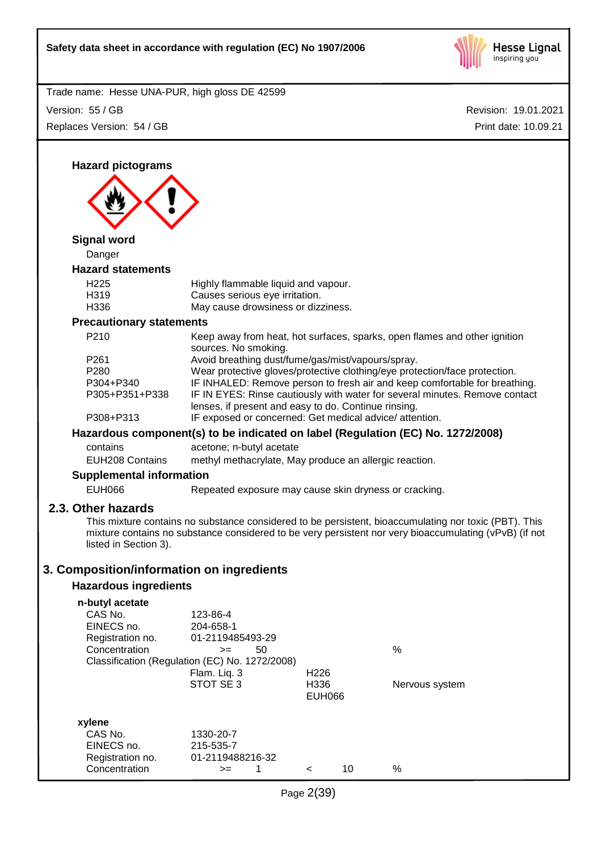

Revision: 19.01.2021 Trade name: Hesse UNA-PUR, high gloss DE 42599 Print date: 10.09.21 Version: 55 / GB Replaces Version: 54 / GB **Hazard pictograms Signal word** Danger **Hazard statements** H225 Highly flammable liquid and vapour. H319 Causes serious eye irritation. H336 May cause drowsiness or dizziness. **Precautionary statements** P210 Keep away from heat, hot surfaces, sparks, open flames and other ignition sources. No smoking. P261 Avoid breathing dust/fume/gas/mist/vapours/spray. P280 Wear protective gloves/protective clothing/eye protection/face protection. P304+P340 IF INHALED: Remove person to fresh air and keep comfortable for breathing. P305+P351+P338 IF IN EYES: Rinse cautiously with water for several minutes. Remove contact lenses, if present and easy to do. Continue rinsing. P308+P313 IF exposed or concerned: Get medical advice/ attention. **Hazardous component(s) to be indicated on label (Regulation (EC) No. 1272/2008)** contains acetone; n-butyl acetate EUH208 Contains methyl methacrylate, May produce an allergic reaction. **Supplemental information** EUH066 Repeated exposure may cause skin dryness or cracking. **2.3. Other hazards** This mixture contains no substance considered to be persistent, bioaccumulating nor toxic (PBT). This mixture contains no substance considered to be very persistent nor very bioaccumulating (vPvB) (if not listed in Section 3). **3. Composition/information on ingredients Hazardous ingredients n-butyl acetate** CAS No. 123-86-4 EINECS no. 204-658-1 Registration no. 01-2119485493-29 Concentration  $\rightarrow$  50 % Classification (Regulation (EC) No. 1272/2008) Flam. Liq. 3 H226 STOT SE 3 H336 Nervous system EUH066 **xylene** CAS No. 1330-20-7 EINECS no. 215-535-7 Registration no. 01-2119488216-32 Concentration  $\rightarrow$  1 < 10 %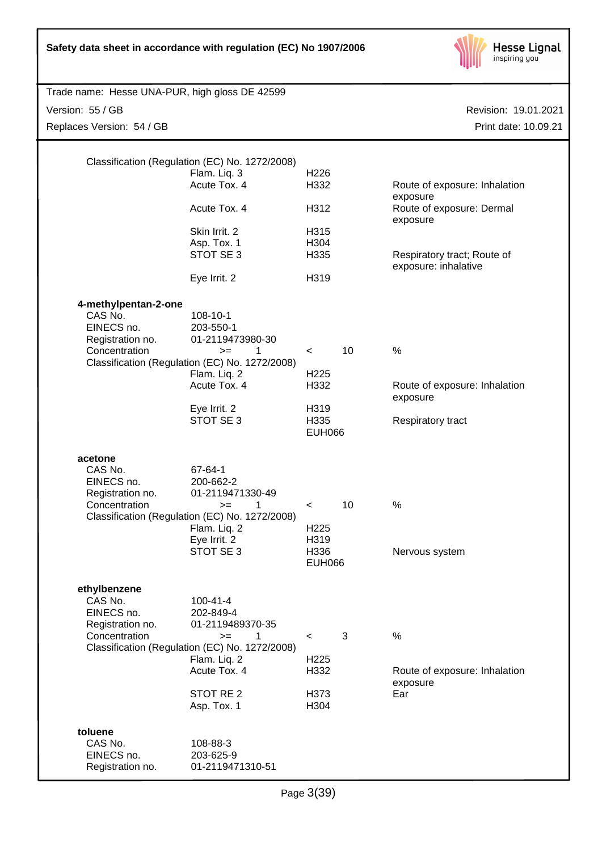| Safety data sheet in accordance with regulation (EC) No 1907/2006     |                                                                                                                        |                               |    | <b>Hesse Lignal</b><br>inspiring you                |
|-----------------------------------------------------------------------|------------------------------------------------------------------------------------------------------------------------|-------------------------------|----|-----------------------------------------------------|
| Trade name: Hesse UNA-PUR, high gloss DE 42599                        |                                                                                                                        |                               |    |                                                     |
| Version: 55 / GB                                                      |                                                                                                                        |                               |    | Revision: 19.01.2021                                |
| Replaces Version: 54 / GB                                             |                                                                                                                        |                               |    | Print date: 10.09.21                                |
|                                                                       | Classification (Regulation (EC) No. 1272/2008)<br>Flam. Liq. 3                                                         | H <sub>226</sub>              |    |                                                     |
|                                                                       | Acute Tox. 4                                                                                                           | H332                          |    | Route of exposure: Inhalation                       |
|                                                                       | Acute Tox. 4                                                                                                           | H312                          |    | exposure<br>Route of exposure: Dermal<br>exposure   |
|                                                                       | Skin Irrit. 2<br>Asp. Tox. 1<br>STOT SE 3                                                                              | H315<br>H304<br>H335          |    | Respiratory tract; Route of<br>exposure: inhalative |
|                                                                       | Eye Irrit. 2                                                                                                           | H319                          |    |                                                     |
| 4-methylpentan-2-one<br>CAS No.<br>EINECS no.<br>Registration no.     | 108-10-1<br>203-550-1<br>01-2119473980-30                                                                              |                               |    |                                                     |
| Concentration                                                         | 1<br>$>=$<br>Classification (Regulation (EC) No. 1272/2008)<br>Flam. Liq. 2                                            | $\,<\,$<br>H <sub>225</sub>   | 10 | $\%$                                                |
|                                                                       | Acute Tox. 4                                                                                                           | H332                          |    | Route of exposure: Inhalation<br>exposure           |
|                                                                       | Eye Irrit. 2<br>STOT SE 3                                                                                              | H319<br>H335<br><b>EUH066</b> |    | Respiratory tract                                   |
| acetone<br>CAS No.<br>EINECS no.<br>Registration no.<br>Concentration | 67-64-1<br>200-662-2<br>01-2119471330-49<br>1<br>$=$<br>Classification (Regulation (EC) No. 1272/2008)<br>Flam. Liq. 2 | $\,<\,$<br>H <sub>225</sub>   | 10 | $\%$                                                |
|                                                                       | Eye Irrit. 2<br>STOT SE 3                                                                                              | H319<br>H336<br><b>EUH066</b> |    | Nervous system                                      |
| ethylbenzene<br>CAS No.<br>EINECS no.<br>Registration no.             | $100 - 41 - 4$<br>202-849-4<br>01-2119489370-35                                                                        |                               |    |                                                     |
| Concentration                                                         | 1<br>$>=$<br>Classification (Regulation (EC) No. 1272/2008)                                                            | $\,<\,$                       | 3  | $\%$                                                |
|                                                                       | Flam. Liq. 2<br>Acute Tox. 4                                                                                           | H <sub>225</sub><br>H332      |    | Route of exposure: Inhalation                       |
|                                                                       | STOT RE <sub>2</sub><br>Asp. Tox. 1                                                                                    | H373<br>H304                  |    | exposure<br>Ear                                     |
| toluene<br>CAS No.<br>EINECS no.<br>Registration no.                  | 108-88-3<br>203-625-9<br>01-2119471310-51                                                                              |                               |    |                                                     |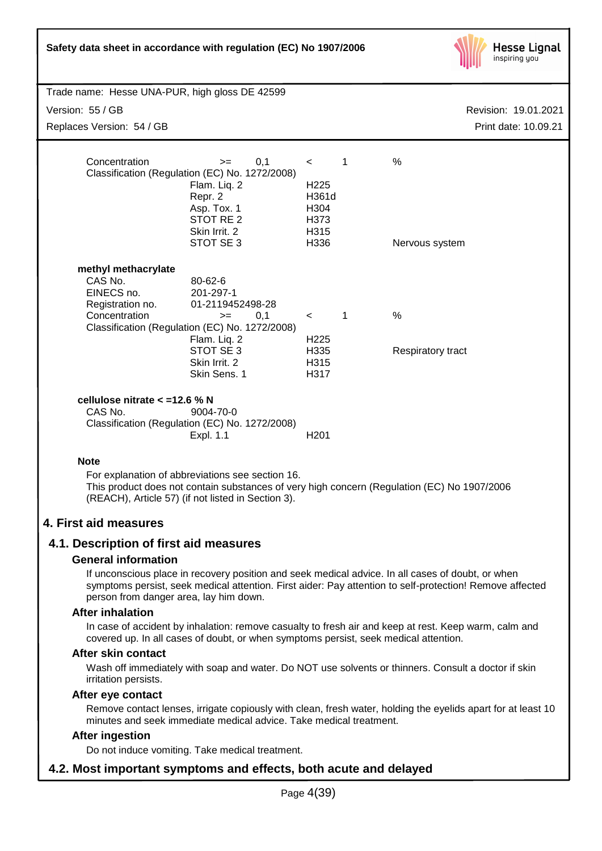| Safety data sheet in accordance with regulation (EC) No 1907/2006                                                                                                                                                              |                                                                                                                                                                         |                                                                      |              | <b>Hesse Lignal</b><br>inspiring you |
|--------------------------------------------------------------------------------------------------------------------------------------------------------------------------------------------------------------------------------|-------------------------------------------------------------------------------------------------------------------------------------------------------------------------|----------------------------------------------------------------------|--------------|--------------------------------------|
| Trade name: Hesse UNA-PUR, high gloss DE 42599                                                                                                                                                                                 |                                                                                                                                                                         |                                                                      |              |                                      |
| Version: 55 / GB                                                                                                                                                                                                               |                                                                                                                                                                         |                                                                      |              | Revision: 19.01.2021                 |
| Replaces Version: 54 / GB                                                                                                                                                                                                      |                                                                                                                                                                         |                                                                      |              | Print date: 10.09.21                 |
| Concentration                                                                                                                                                                                                                  | 0,1<br>$>=$<br>Classification (Regulation (EC) No. 1272/2008)<br>Flam. Liq. 2<br>Repr. 2<br>Asp. Tox. 1<br>STOT RE <sub>2</sub><br>Skin Irrit. 2<br>STOT SE 3           | $\prec$<br>H <sub>225</sub><br>H361d<br>H304<br>H373<br>H315<br>H336 | 1            | %<br>Nervous system                  |
| methyl methacrylate<br>CAS No.<br>EINECS no.<br>Registration no.<br>Concentration                                                                                                                                              | 80-62-6<br>201-297-1<br>01-2119452498-28<br>0,1<br>$>=$<br>Classification (Regulation (EC) No. 1272/2008)<br>Flam. Liq. 2<br>STOT SE 3<br>Skin Irrit. 2<br>Skin Sens. 1 | $\prec$<br>H <sub>225</sub><br>H335<br>H315<br>H317                  | $\mathbf{1}$ | $\%$<br>Respiratory tract            |
| cellulose nitrate $<$ =12.6 % N<br>CAS No.                                                                                                                                                                                     | 9004-70-0<br>Classification (Regulation (EC) No. 1272/2008)<br>Expl. 1.1                                                                                                | H <sub>201</sub>                                                     |              |                                      |
| <b>Note</b>                                                                                                                                                                                                                    |                                                                                                                                                                         |                                                                      |              |                                      |
| For explanation of abbreviations see section 16.<br>This product does not contain substances of very high concern (Regulation (EC) No 1907/2006<br>(REACH), Article 57) (if not listed in Section 3).<br>4. First aid measures |                                                                                                                                                                         |                                                                      |              |                                      |

## **4.1. Description of first aid measures**

#### **General information**

If unconscious place in recovery position and seek medical advice. In all cases of doubt, or when symptoms persist, seek medical attention. First aider: Pay attention to self-protection! Remove affected person from danger area, lay him down.

#### **After inhalation**

In case of accident by inhalation: remove casualty to fresh air and keep at rest. Keep warm, calm and covered up. In all cases of doubt, or when symptoms persist, seek medical attention.

#### **After skin contact**

Wash off immediately with soap and water. Do NOT use solvents or thinners. Consult a doctor if skin irritation persists.

#### **After eye contact**

Remove contact lenses, irrigate copiously with clean, fresh water, holding the eyelids apart for at least 10 minutes and seek immediate medical advice. Take medical treatment.

## **After ingestion**

Do not induce vomiting. Take medical treatment.

## **4.2. Most important symptoms and effects, both acute and delayed**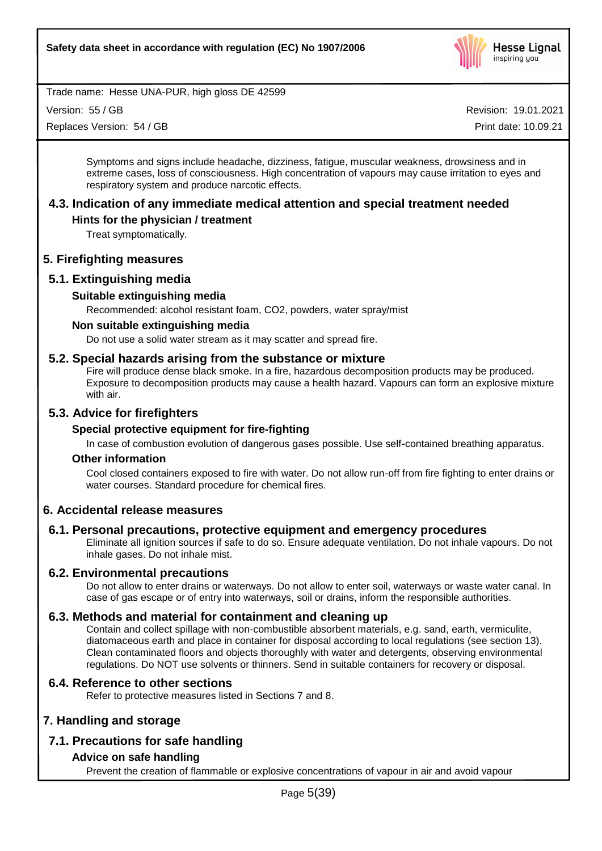

Version: 55 / GB

Replaces Version: 54 / GB

Revision: 19.01.2021

Print date: 10.09.21

Symptoms and signs include headache, dizziness, fatigue, muscular weakness, drowsiness and in extreme cases, loss of consciousness. High concentration of vapours may cause irritation to eyes and respiratory system and produce narcotic effects.

## **4.3. Indication of any immediate medical attention and special treatment needed**

## **Hints for the physician / treatment**

Treat symptomatically.

## **5. Firefighting measures**

## **5.1. Extinguishing media**

## **Suitable extinguishing media**

Recommended: alcohol resistant foam, CO2, powders, water spray/mist

## **Non suitable extinguishing media**

Do not use a solid water stream as it may scatter and spread fire.

## **5.2. Special hazards arising from the substance or mixture**

Fire will produce dense black smoke. In a fire, hazardous decomposition products may be produced. Exposure to decomposition products may cause a health hazard. Vapours can form an explosive mixture with air.

## **5.3. Advice for firefighters**

## **Special protective equipment for fire-fighting**

In case of combustion evolution of dangerous gases possible. Use self-contained breathing apparatus.

#### **Other information**

Cool closed containers exposed to fire with water. Do not allow run-off from fire fighting to enter drains or water courses. Standard procedure for chemical fires.

## **6. Accidental release measures**

## **6.1. Personal precautions, protective equipment and emergency procedures**

Eliminate all ignition sources if safe to do so. Ensure adequate ventilation. Do not inhale vapours. Do not inhale gases. Do not inhale mist.

## **6.2. Environmental precautions**

Do not allow to enter drains or waterways. Do not allow to enter soil, waterways or waste water canal. In case of gas escape or of entry into waterways, soil or drains, inform the responsible authorities.

## **6.3. Methods and material for containment and cleaning up**

Contain and collect spillage with non-combustible absorbent materials, e.g. sand, earth, vermiculite, diatomaceous earth and place in container for disposal according to local regulations (see section 13). Clean contaminated floors and objects thoroughly with water and detergents, observing environmental regulations. Do NOT use solvents or thinners. Send in suitable containers for recovery or disposal.

## **6.4. Reference to other sections**

Refer to protective measures listed in Sections 7 and 8.

## **7. Handling and storage**

## **7.1. Precautions for safe handling**

## **Advice on safe handling**

Prevent the creation of flammable or explosive concentrations of vapour in air and avoid vapour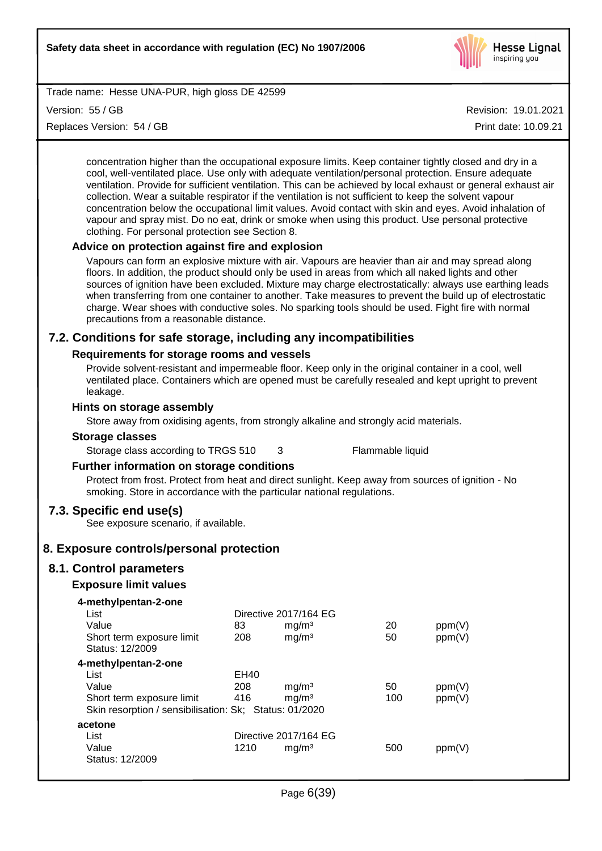

Version: 55 / GB

Replaces Version: 54 / GB

Revision: 19.01.2021

Print date: 10.09.21

concentration higher than the occupational exposure limits. Keep container tightly closed and dry in a cool, well-ventilated place. Use only with adequate ventilation/personal protection. Ensure adequate ventilation. Provide for sufficient ventilation. This can be achieved by local exhaust or general exhaust air collection. Wear a suitable respirator if the ventilation is not sufficient to keep the solvent vapour concentration below the occupational limit values. Avoid contact with skin and eyes. Avoid inhalation of vapour and spray mist. Do no eat, drink or smoke when using this product. Use personal protective clothing. For personal protection see Section 8.

## **Advice on protection against fire and explosion**

Vapours can form an explosive mixture with air. Vapours are heavier than air and may spread along floors. In addition, the product should only be used in areas from which all naked lights and other sources of ignition have been excluded. Mixture may charge electrostatically: always use earthing leads when transferring from one container to another. Take measures to prevent the build up of electrostatic charge. Wear shoes with conductive soles. No sparking tools should be used. Fight fire with normal precautions from a reasonable distance.

## **7.2. Conditions for safe storage, including any incompatibilities**

## **Requirements for storage rooms and vessels**

Provide solvent-resistant and impermeable floor. Keep only in the original container in a cool, well ventilated place. Containers which are opened must be carefully resealed and kept upright to prevent leakage.

## **Hints on storage assembly**

Store away from oxidising agents, from strongly alkaline and strongly acid materials.

#### **Storage classes**

Storage class according to TRGS 510 3 Flammable liquid

## **Further information on storage conditions**

Protect from frost. Protect from heat and direct sunlight. Keep away from sources of ignition - No smoking. Store in accordance with the particular national regulations.

## **7.3. Specific end use(s)**

See exposure scenario, if available.

## **8. Exposure controls/personal protection**

## **8.1. Control parameters**

## **Exposure limit values**

| 83   | mg/m <sup>3</sup> | 20                                                                                                       | ppm(V) |
|------|-------------------|----------------------------------------------------------------------------------------------------------|--------|
| 208  | mg/m <sup>3</sup> | 50                                                                                                       | ppm(V) |
|      |                   |                                                                                                          |        |
|      |                   |                                                                                                          |        |
| EH40 |                   |                                                                                                          |        |
| 208  | mg/m <sup>3</sup> | 50                                                                                                       | ppm(V) |
| 416  | mg/m <sup>3</sup> | 100                                                                                                      | ppm(V) |
|      |                   |                                                                                                          |        |
|      |                   |                                                                                                          |        |
|      |                   |                                                                                                          |        |
| 1210 | mq/m <sup>3</sup> | 500                                                                                                      | ppm(V) |
|      |                   |                                                                                                          |        |
|      |                   | Directive 2017/164 EG<br>Skin resorption / sensibilisation: Sk; Status: 01/2020<br>Directive 2017/164 EG |        |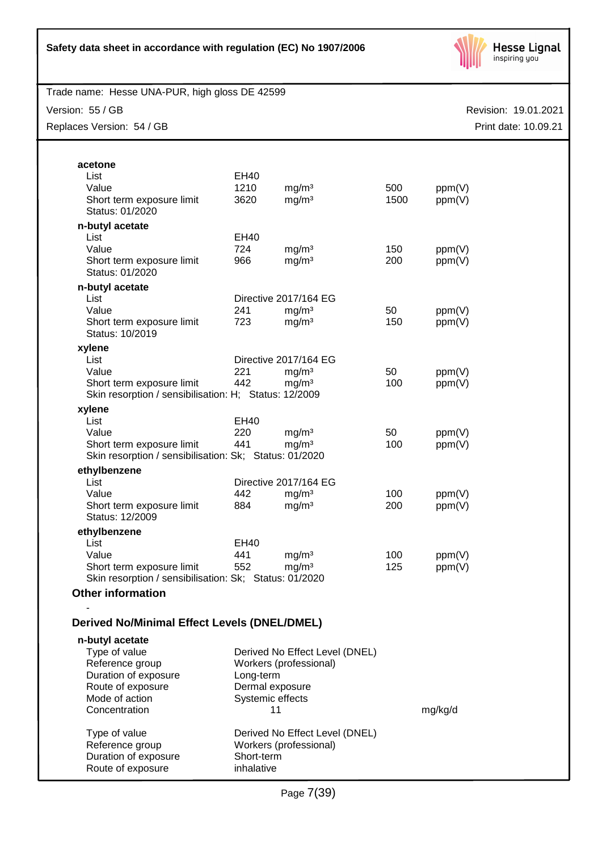

Version: 55 / GB

Replaces Version: 54 / GB

| acetone                                                |                  |                                |      |         |
|--------------------------------------------------------|------------------|--------------------------------|------|---------|
| List                                                   | EH40             |                                |      |         |
| Value                                                  | 1210             | mg/m <sup>3</sup>              | 500  | ppm(V)  |
| Short term exposure limit                              | 3620             | mg/m <sup>3</sup>              | 1500 | ppm(V)  |
| Status: 01/2020                                        |                  |                                |      |         |
| n-butyl acetate                                        |                  |                                |      |         |
| List                                                   | EH40             |                                |      |         |
| Value                                                  | 724              | mg/m <sup>3</sup>              | 150  | ppm(V)  |
| Short term exposure limit                              | 966              | mg/m <sup>3</sup>              | 200  | ppm(V)  |
| Status: 01/2020                                        |                  |                                |      |         |
|                                                        |                  |                                |      |         |
| n-butyl acetate                                        |                  |                                |      |         |
| List                                                   |                  | Directive 2017/164 EG          |      |         |
| Value                                                  | 241              | mg/m <sup>3</sup>              | 50   | ppm(V)  |
| Short term exposure limit                              | 723              | mg/m <sup>3</sup>              | 150  | ppm(V)  |
| Status: 10/2019                                        |                  |                                |      |         |
| xylene                                                 |                  |                                |      |         |
| List                                                   |                  | Directive 2017/164 EG          |      |         |
| Value                                                  | 221              | mg/m <sup>3</sup>              | 50   | ppm(V)  |
| Short term exposure limit                              | 442              | mg/m <sup>3</sup>              | 100  | ppm(V)  |
| Skin resorption / sensibilisation: H; Status: 12/2009  |                  |                                |      |         |
| xylene                                                 |                  |                                |      |         |
| List                                                   | EH40             |                                |      |         |
| Value                                                  | 220              | mg/m <sup>3</sup>              | 50   | ppm(V)  |
| Short term exposure limit                              | 441              | mg/m <sup>3</sup>              | 100  | ppm(V)  |
| Skin resorption / sensibilisation: Sk; Status: 01/2020 |                  |                                |      |         |
| ethylbenzene                                           |                  |                                |      |         |
| List                                                   |                  | Directive 2017/164 EG          |      |         |
| Value                                                  | 442              | mg/m <sup>3</sup>              | 100  |         |
|                                                        | 884              | mg/m <sup>3</sup>              | 200  | ppm(V)  |
| Short term exposure limit<br>Status: 12/2009           |                  |                                |      | ppm(V)  |
|                                                        |                  |                                |      |         |
| ethylbenzene                                           |                  |                                |      |         |
| List                                                   | EH40             |                                |      |         |
| Value                                                  | 441              | mg/m <sup>3</sup>              | 100  | ppm(V)  |
| Short term exposure limit                              | 552              | mg/m <sup>3</sup>              | 125  | ppm(V)  |
| Skin resorption / sensibilisation: Sk; Status: 01/2020 |                  |                                |      |         |
| <b>Other information</b>                               |                  |                                |      |         |
|                                                        |                  |                                |      |         |
| <b>Derived No/Minimal Effect Levels (DNEL/DMEL)</b>    |                  |                                |      |         |
| n-butyl acetate                                        |                  |                                |      |         |
| Type of value                                          |                  | Derived No Effect Level (DNEL) |      |         |
| Reference group                                        |                  | Workers (professional)         |      |         |
| Duration of exposure                                   | Long-term        |                                |      |         |
| Route of exposure                                      | Dermal exposure  |                                |      |         |
| Mode of action                                         | Systemic effects |                                |      |         |
| Concentration                                          |                  | 11                             |      | mg/kg/d |
|                                                        |                  |                                |      |         |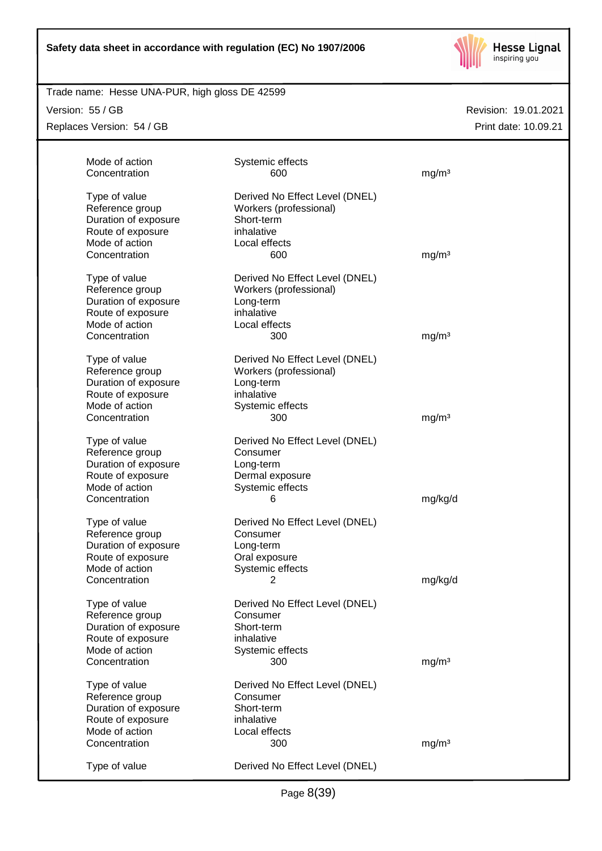

## Trade name: Hesse UNA-PUR, high gloss DE 42599

Version: 55 / GB

Replaces Version: 54 / GB

| Mode of action<br>Concentration | Systemic effects<br>600        | mg/m <sup>3</sup> |
|---------------------------------|--------------------------------|-------------------|
| Type of value                   | Derived No Effect Level (DNEL) |                   |
| Reference group                 | Workers (professional)         |                   |
| Duration of exposure            | Short-term                     |                   |
| Route of exposure               | inhalative                     |                   |
| Mode of action                  | Local effects                  |                   |
| Concentration                   | 600                            | mg/m <sup>3</sup> |
| Type of value                   | Derived No Effect Level (DNEL) |                   |
| Reference group                 | Workers (professional)         |                   |
| Duration of exposure            | Long-term                      |                   |
| Route of exposure               | inhalative                     |                   |
| Mode of action                  | Local effects                  |                   |
| Concentration                   | 300                            | mg/m <sup>3</sup> |
| Type of value                   | Derived No Effect Level (DNEL) |                   |
| Reference group                 | Workers (professional)         |                   |
| Duration of exposure            | Long-term                      |                   |
| Route of exposure               | inhalative                     |                   |
| Mode of action                  | Systemic effects               |                   |
| Concentration                   | 300                            | mg/m <sup>3</sup> |
| Type of value                   | Derived No Effect Level (DNEL) |                   |
| Reference group                 | Consumer                       |                   |
| Duration of exposure            | Long-term                      |                   |
| Route of exposure               | Dermal exposure                |                   |
| Mode of action                  | Systemic effects               |                   |
| Concentration                   | 6                              | mg/kg/d           |
| Type of value                   | Derived No Effect Level (DNEL) |                   |
| Reference group                 | Consumer                       |                   |
| Duration of exposure            | Long-term                      |                   |
| Route of exposure               | Oral exposure                  |                   |
| Mode of action                  | Systemic effects               |                   |
| Concentration                   | 2                              | mg/kg/d           |
| Type of value                   | Derived No Effect Level (DNEL) |                   |
| Reference group                 | Consumer                       |                   |
| Duration of exposure            | Short-term                     |                   |
| Route of exposure               | inhalative                     |                   |
| Mode of action                  | Systemic effects               |                   |
| Concentration                   | 300                            | mg/m <sup>3</sup> |
| Type of value                   | Derived No Effect Level (DNEL) |                   |
| Reference group                 | Consumer                       |                   |
| Duration of exposure            | Short-term                     |                   |
| Route of exposure               | inhalative                     |                   |
| Mode of action                  | Local effects                  |                   |
| Concentration                   | 300                            | mg/m <sup>3</sup> |
| Type of value                   | Derived No Effect Level (DNEL) |                   |
|                                 |                                |                   |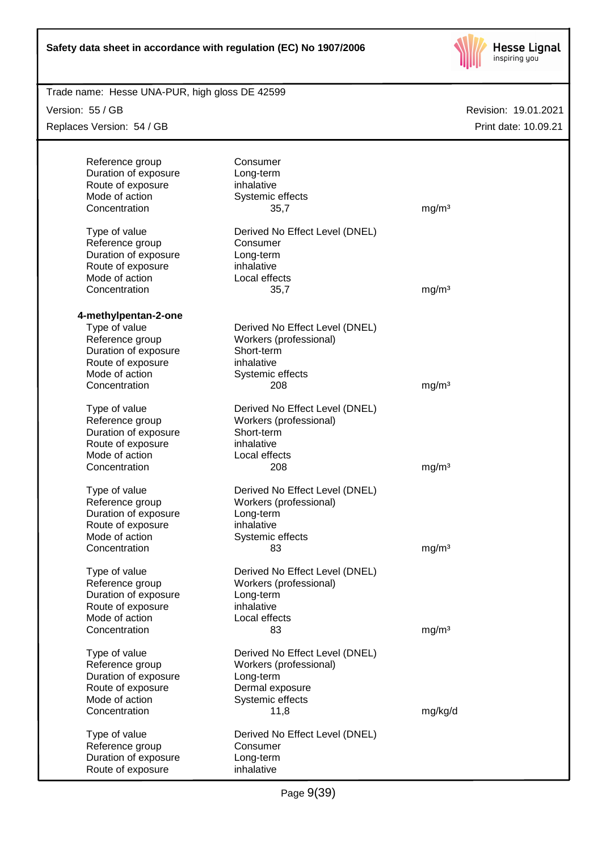

| Trade name: Hesse UNA-PUR, high gloss DE 42599 |                                |                   |                      |
|------------------------------------------------|--------------------------------|-------------------|----------------------|
| Version: 55 / GB                               |                                |                   | Revision: 19.01.2021 |
| Replaces Version: 54 / GB                      |                                |                   | Print date: 10.09.21 |
|                                                |                                |                   |                      |
| Reference group                                | Consumer                       |                   |                      |
| Duration of exposure                           | Long-term                      |                   |                      |
| Route of exposure                              | inhalative                     |                   |                      |
| Mode of action                                 | Systemic effects               |                   |                      |
| Concentration                                  | 35,7                           | mg/m <sup>3</sup> |                      |
|                                                |                                |                   |                      |
| Type of value                                  | Derived No Effect Level (DNEL) |                   |                      |
| Reference group                                | Consumer                       |                   |                      |
| Duration of exposure                           | Long-term                      |                   |                      |
| Route of exposure                              | inhalative                     |                   |                      |
| Mode of action                                 | Local effects                  |                   |                      |
| Concentration                                  | 35,7                           | mg/m <sup>3</sup> |                      |
|                                                |                                |                   |                      |
| 4-methylpentan-2-one                           |                                |                   |                      |
| Type of value                                  | Derived No Effect Level (DNEL) |                   |                      |
| Reference group                                | Workers (professional)         |                   |                      |
| Duration of exposure                           | Short-term                     |                   |                      |
| Route of exposure                              | inhalative                     |                   |                      |
| Mode of action                                 | Systemic effects               |                   |                      |
| Concentration                                  | 208                            | mg/m <sup>3</sup> |                      |
|                                                |                                |                   |                      |
| Type of value                                  | Derived No Effect Level (DNEL) |                   |                      |
| Reference group                                | Workers (professional)         |                   |                      |
| Duration of exposure                           | Short-term                     |                   |                      |
| Route of exposure<br>Mode of action            | inhalative                     |                   |                      |
| Concentration                                  | Local effects<br>208           | mg/m <sup>3</sup> |                      |
|                                                |                                |                   |                      |
| Type of value                                  | Derived No Effect Level (DNEL) |                   |                      |
| Reference group                                | Workers (professional)         |                   |                      |
| Duration of exposure                           | Long-term                      |                   |                      |
| Route of exposure                              | inhalative                     |                   |                      |
| Mode of action                                 | Systemic effects               |                   |                      |
| Concentration                                  | 83                             | mg/m <sup>3</sup> |                      |
|                                                |                                |                   |                      |
| Type of value                                  | Derived No Effect Level (DNEL) |                   |                      |
| Reference group                                | Workers (professional)         |                   |                      |
| Duration of exposure                           | Long-term                      |                   |                      |
| Route of exposure                              | inhalative                     |                   |                      |
| Mode of action                                 | Local effects                  |                   |                      |
| Concentration                                  | 83                             | mg/m <sup>3</sup> |                      |
|                                                |                                |                   |                      |
| Type of value                                  | Derived No Effect Level (DNEL) |                   |                      |
| Reference group                                | Workers (professional)         |                   |                      |
| Duration of exposure                           | Long-term                      |                   |                      |
| Route of exposure                              | Dermal exposure                |                   |                      |
| Mode of action                                 | Systemic effects               |                   |                      |
| Concentration                                  | 11,8                           | mg/kg/d           |                      |
| Type of value                                  | Derived No Effect Level (DNEL) |                   |                      |
| Reference group                                | Consumer                       |                   |                      |
| Duration of exposure                           | Long-term                      |                   |                      |
| Route of exposure                              | inhalative                     |                   |                      |
|                                                |                                |                   |                      |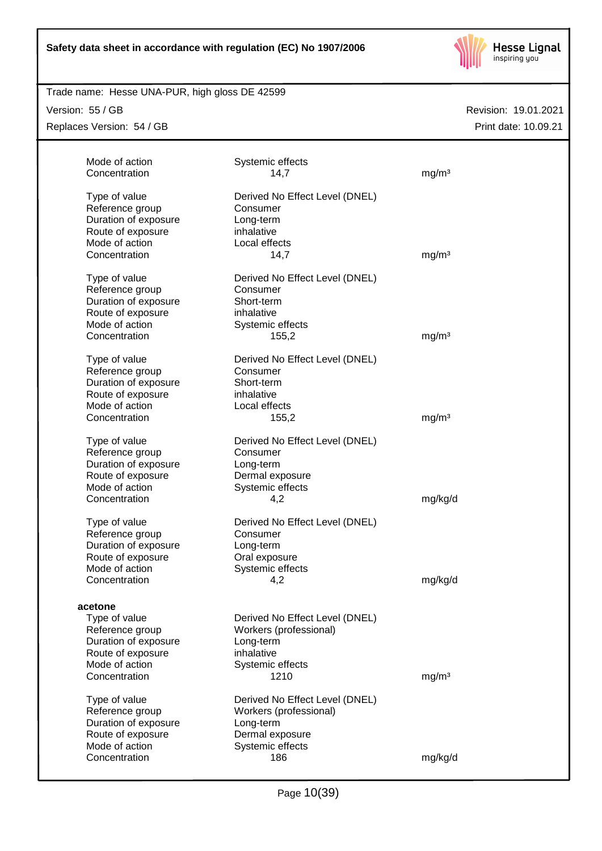

## Trade name: Hesse UNA-PUR, high gloss DE 42599

Version: 55 / GB

Replaces Version: 54 / GB

| Mode of action<br>Concentration                                                                 | Systemic effects<br>14,7                                                                       | mg/m <sup>3</sup> |
|-------------------------------------------------------------------------------------------------|------------------------------------------------------------------------------------------------|-------------------|
| Type of value<br>Reference group<br>Duration of exposure                                        | Derived No Effect Level (DNEL)<br>Consumer<br>Long-term                                        |                   |
| Route of exposure<br>Mode of action<br>Concentration                                            | inhalative<br>Local effects<br>14,7                                                            | mg/m <sup>3</sup> |
| Type of value<br>Reference group<br>Duration of exposure                                        | Derived No Effect Level (DNEL)<br>Consumer<br>Short-term                                       |                   |
| Route of exposure<br>Mode of action                                                             | inhalative<br>Systemic effects                                                                 |                   |
| Concentration                                                                                   | 155,2                                                                                          | mg/m <sup>3</sup> |
| Type of value<br>Reference group<br>Duration of exposure<br>Route of exposure                   | Derived No Effect Level (DNEL)<br>Consumer<br>Short-term<br>inhalative                         |                   |
| Mode of action<br>Concentration                                                                 | Local effects<br>155,2                                                                         | mg/m <sup>3</sup> |
| Type of value<br>Reference group<br>Duration of exposure<br>Route of exposure<br>Mode of action | Derived No Effect Level (DNEL)<br>Consumer<br>Long-term<br>Dermal exposure<br>Systemic effects |                   |
| Concentration                                                                                   | 4,2                                                                                            | mg/kg/d           |
| Type of value<br>Reference group<br>Duration of exposure<br>Route of exposure<br>Mode of action | Derived No Effect Level (DNEL)<br>Consumer<br>Long-term<br>Oral exposure<br>Systemic effects   |                   |
| Concentration                                                                                   | 4,2                                                                                            | mg/kg/d           |
| acetone<br>Type of value<br>Reference group                                                     | Derived No Effect Level (DNEL)<br>Workers (professional)                                       |                   |
| Duration of exposure<br>Route of exposure<br>Mode of action<br>Concentration                    | Long-term<br>inhalative<br>Systemic effects<br>1210                                            | mg/m <sup>3</sup> |
| Type of value<br>Reference group<br>Duration of exposure                                        | Derived No Effect Level (DNEL)<br>Workers (professional)<br>Long-term                          |                   |
| Route of exposure<br>Mode of action<br>Concentration                                            | Dermal exposure<br>Systemic effects<br>186                                                     | mg/kg/d           |
|                                                                                                 |                                                                                                |                   |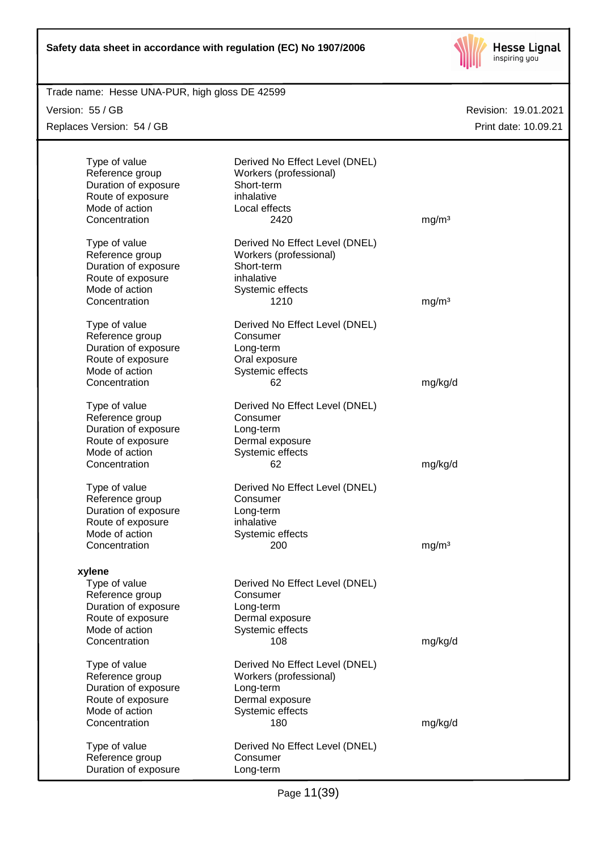

| Trade name: Hesse UNA-PUR, high gloss DE 42599 |                                |                      |
|------------------------------------------------|--------------------------------|----------------------|
| Version: 55 / GB                               |                                | Revision: 19.01.2021 |
| Replaces Version: 54 / GB                      |                                | Print date: 10.09.21 |
|                                                |                                |                      |
| Type of value                                  | Derived No Effect Level (DNEL) |                      |
| Reference group                                | Workers (professional)         |                      |
| Duration of exposure                           | Short-term                     |                      |
| Route of exposure                              | inhalative                     |                      |
| Mode of action                                 | Local effects                  |                      |
| Concentration                                  | 2420                           | mg/m <sup>3</sup>    |
|                                                |                                |                      |
| Type of value                                  | Derived No Effect Level (DNEL) |                      |
| Reference group                                | Workers (professional)         |                      |
| Duration of exposure                           | Short-term                     |                      |
| Route of exposure                              | inhalative                     |                      |
| Mode of action                                 | Systemic effects               |                      |
| Concentration                                  | 1210                           | mg/m <sup>3</sup>    |
|                                                |                                |                      |
| Type of value                                  | Derived No Effect Level (DNEL) |                      |
| Reference group                                | Consumer                       |                      |
| Duration of exposure                           | Long-term                      |                      |
| Route of exposure                              | Oral exposure                  |                      |
| Mode of action                                 | Systemic effects               |                      |
| Concentration                                  | 62                             | mg/kg/d              |
|                                                |                                |                      |
| Type of value                                  | Derived No Effect Level (DNEL) |                      |
| Reference group                                | Consumer                       |                      |
| Duration of exposure                           | Long-term                      |                      |
| Route of exposure                              | Dermal exposure                |                      |
| Mode of action                                 | Systemic effects               |                      |
| Concentration                                  | 62                             | mg/kg/d              |
|                                                |                                |                      |
| Type of value                                  | Derived No Effect Level (DNEL) |                      |
| Reference group                                | Consumer                       |                      |
| Duration of exposure                           | Long-term                      |                      |
| Route of exposure                              | inhalative                     |                      |
| Mode of action                                 | Systemic effects               |                      |
| Concentration                                  | 200                            | mg/m <sup>3</sup>    |
|                                                |                                |                      |
| xylene                                         |                                |                      |
| Type of value                                  | Derived No Effect Level (DNEL) |                      |
| Reference group                                | Consumer                       |                      |
| Duration of exposure                           | Long-term                      |                      |
| Route of exposure                              | Dermal exposure                |                      |
| Mode of action                                 | Systemic effects               |                      |
| Concentration                                  | 108                            | mg/kg/d              |
|                                                |                                |                      |
| Type of value                                  | Derived No Effect Level (DNEL) |                      |
| Reference group                                | Workers (professional)         |                      |
| Duration of exposure                           | Long-term                      |                      |
| Route of exposure                              | Dermal exposure                |                      |
| Mode of action                                 | Systemic effects               |                      |
| Concentration                                  | 180                            | mg/kg/d              |
|                                                |                                |                      |
| Type of value                                  | Derived No Effect Level (DNEL) |                      |
| Reference group                                | Consumer                       |                      |
| Duration of exposure                           | Long-term                      |                      |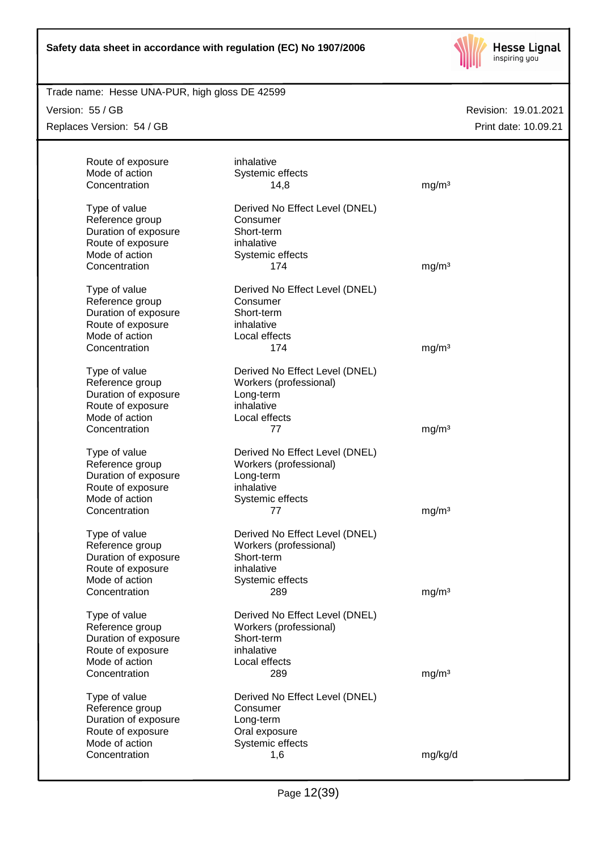

## Trade name: Hesse UNA-PUR, high gloss DE 42599

Version: 55 / GB

Replaces Version: 54 / GB

| Route of exposure                   | inhalative                     |                   |
|-------------------------------------|--------------------------------|-------------------|
| Mode of action                      | Systemic effects               |                   |
| Concentration                       | 14,8                           | mg/m <sup>3</sup> |
| Type of value                       | Derived No Effect Level (DNEL) |                   |
| Reference group                     | Consumer                       |                   |
| Duration of exposure                | Short-term                     |                   |
| Route of exposure                   | inhalative                     |                   |
| Mode of action                      | Systemic effects               |                   |
| Concentration                       | 174                            | mg/m <sup>3</sup> |
|                                     |                                |                   |
| Type of value                       | Derived No Effect Level (DNEL) |                   |
| Reference group                     | Consumer                       |                   |
| Duration of exposure                | Short-term                     |                   |
| Route of exposure                   | inhalative                     |                   |
| Mode of action                      | Local effects                  |                   |
| Concentration                       | 174                            | mg/m <sup>3</sup> |
|                                     |                                |                   |
| Type of value                       | Derived No Effect Level (DNEL) |                   |
| Reference group                     | Workers (professional)         |                   |
| Duration of exposure                | Long-term                      |                   |
| Route of exposure                   | inhalative                     |                   |
| Mode of action                      | Local effects                  |                   |
| Concentration                       | 77                             | mg/m <sup>3</sup> |
| Type of value                       | Derived No Effect Level (DNEL) |                   |
| Reference group                     | Workers (professional)         |                   |
| Duration of exposure                | Long-term                      |                   |
| Route of exposure                   | inhalative                     |                   |
| Mode of action                      | Systemic effects               |                   |
| Concentration                       | 77                             | mg/m <sup>3</sup> |
|                                     |                                |                   |
| Type of value                       | Derived No Effect Level (DNEL) |                   |
| Reference group                     | Workers (professional)         |                   |
| Duration of exposure                | Short-term                     |                   |
| Route of exposure                   | inhalative                     |                   |
| Mode of action                      | Systemic effects               |                   |
| Concentration                       | 289                            | mg/m <sup>3</sup> |
|                                     |                                |                   |
| Type of value                       | Derived No Effect Level (DNEL) |                   |
| Reference group                     | Workers (professional)         |                   |
| Duration of exposure                | Short-term                     |                   |
| Route of exposure<br>Mode of action | inhalative                     |                   |
| Concentration                       | Local effects<br>289           |                   |
|                                     |                                | mg/m <sup>3</sup> |
| Type of value                       | Derived No Effect Level (DNEL) |                   |
| Reference group                     | Consumer                       |                   |
| Duration of exposure                | Long-term                      |                   |
| Route of exposure                   | Oral exposure                  |                   |
| Mode of action                      | Systemic effects               |                   |
| Concentration                       | 1,6                            | mg/kg/d           |
|                                     |                                |                   |
|                                     |                                |                   |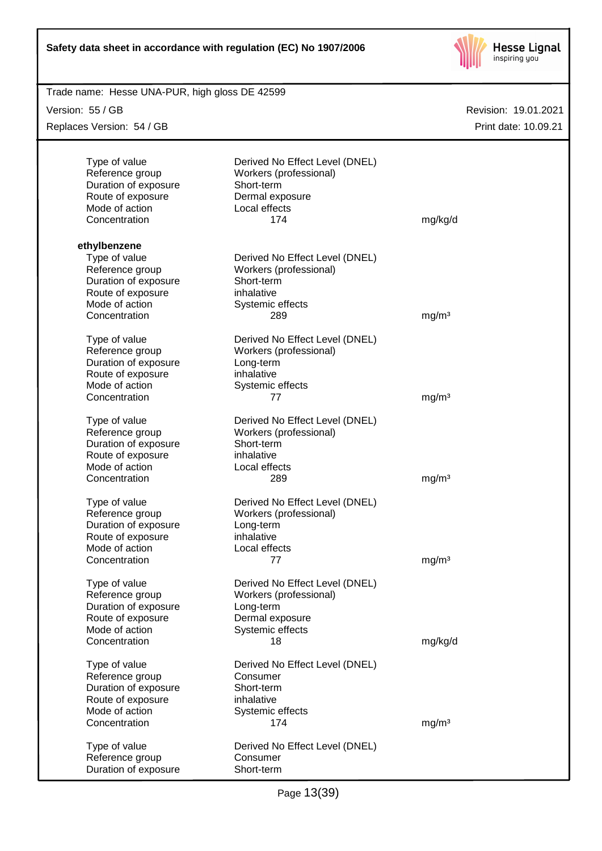

| Trade name: Hesse UNA-PUR, high gloss DE 42599 |                                |                      |
|------------------------------------------------|--------------------------------|----------------------|
| Version: 55 / GB                               |                                | Revision: 19.01.2021 |
| Replaces Version: 54 / GB                      |                                | Print date: 10.09.21 |
|                                                |                                |                      |
| Type of value                                  | Derived No Effect Level (DNEL) |                      |
| Reference group                                | Workers (professional)         |                      |
| Duration of exposure                           | Short-term                     |                      |
| Route of exposure                              | Dermal exposure                |                      |
| Mode of action                                 | Local effects                  |                      |
| Concentration                                  | 174                            | mg/kg/d              |
| ethylbenzene                                   |                                |                      |
| Type of value                                  | Derived No Effect Level (DNEL) |                      |
| Reference group                                | Workers (professional)         |                      |
| Duration of exposure                           | Short-term                     |                      |
| Route of exposure                              | inhalative                     |                      |
| Mode of action                                 | Systemic effects               |                      |
| Concentration                                  | 289                            | mg/m <sup>3</sup>    |
|                                                |                                |                      |
| Type of value                                  | Derived No Effect Level (DNEL) |                      |
| Reference group                                | Workers (professional)         |                      |
| Duration of exposure                           | Long-term                      |                      |
| Route of exposure                              | inhalative                     |                      |
| Mode of action                                 | Systemic effects               |                      |
| Concentration                                  | 77                             | mg/m <sup>3</sup>    |
| Type of value                                  | Derived No Effect Level (DNEL) |                      |
| Reference group                                | Workers (professional)         |                      |
| Duration of exposure                           | Short-term                     |                      |
| Route of exposure                              | inhalative                     |                      |
| Mode of action                                 | Local effects                  |                      |
| Concentration                                  | 289                            | mg/m <sup>3</sup>    |
| Type of value                                  | Derived No Effect Level (DNEL) |                      |
| Reference group                                | Workers (professional)         |                      |
| Duration of exposure                           | Long-term                      |                      |
| Route of exposure                              | inhalative                     |                      |
| Mode of action                                 | Local effects                  |                      |
| Concentration                                  | 77                             | mg/m <sup>3</sup>    |
| Type of value                                  | Derived No Effect Level (DNEL) |                      |
| Reference group                                | Workers (professional)         |                      |
| Duration of exposure                           | Long-term                      |                      |
| Route of exposure                              | Dermal exposure                |                      |
| Mode of action                                 | Systemic effects               |                      |
| Concentration                                  | 18                             | mg/kg/d              |
|                                                |                                |                      |
| Type of value                                  | Derived No Effect Level (DNEL) |                      |
| Reference group                                | Consumer                       |                      |
| Duration of exposure                           | Short-term                     |                      |
| Route of exposure                              | inhalative                     |                      |
| Mode of action                                 | Systemic effects               |                      |
| Concentration                                  | 174                            | mg/m <sup>3</sup>    |
| Type of value                                  | Derived No Effect Level (DNEL) |                      |
| Reference group                                | Consumer                       |                      |
| Duration of exposure                           | Short-term                     |                      |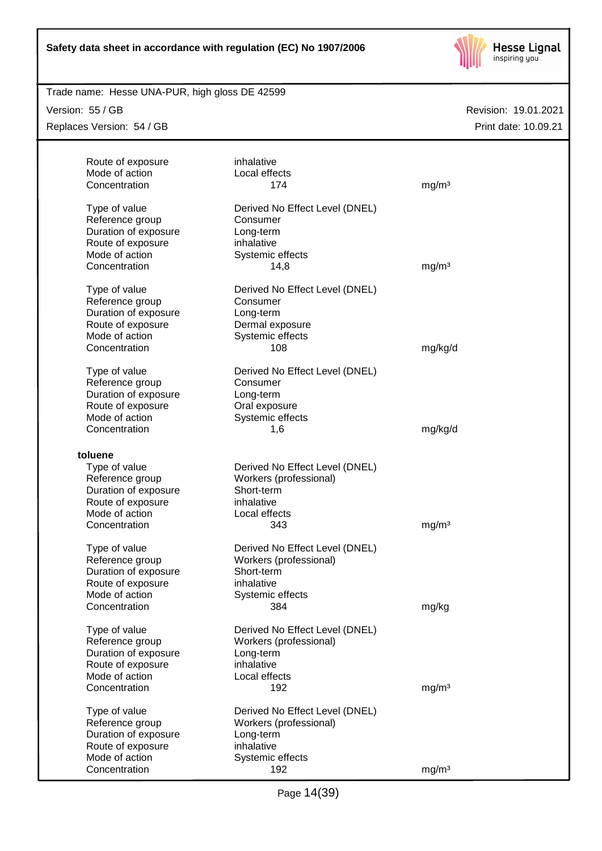

## Trade name: Hesse UNA-PUR, high gloss DE 42599

Version: 55 / GB

Replaces Version: 54 / GB

| Route of exposure<br>Mode of action<br>Concentration                                                                              | inhalative<br>Local effects<br>174                                                                                 | mg/m <sup>3</sup>          |
|-----------------------------------------------------------------------------------------------------------------------------------|--------------------------------------------------------------------------------------------------------------------|----------------------------|
| Type of value<br>Reference group<br>Duration of exposure<br>Route of exposure<br>Mode of action<br>Concentration                  | Derived No Effect Level (DNEL)<br>Consumer<br>Long-term<br>inhalative<br>Systemic effects<br>14,8                  | mg/m <sup>3</sup>          |
| Type of value<br>Reference group<br>Duration of exposure<br>Route of exposure<br>Mode of action<br>Concentration                  | Derived No Effect Level (DNEL)<br>Consumer<br>Long-term<br>Dermal exposure<br>Systemic effects<br>108              | mg/kg/d                    |
| Type of value<br>Reference group<br>Duration of exposure<br>Route of exposure<br>Mode of action<br>Concentration                  | Derived No Effect Level (DNEL)<br>Consumer<br>Long-term<br>Oral exposure<br>Systemic effects<br>1,6                | mg/kg/d                    |
| toluene<br>Type of value<br>Reference group<br>Duration of exposure<br>Route of exposure<br>Mode of action                        | Derived No Effect Level (DNEL)<br>Workers (professional)<br>Short-term<br>inhalative<br>Local effects              |                            |
| Concentration<br>Type of value<br>Reference group<br>Duration of exposure<br>Route of exposure<br>Mode of action                  | 343<br>Derived No Effect Level (DNEL)<br>Workers (professional)<br>Short-term<br>inhalative<br>Systemic effects    | mg/m <sup>3</sup>          |
| Concentration<br>Type of value<br>Reference group<br>Duration of exposure<br>Route of exposure<br>Mode of action<br>Concentration | 384<br>Derived No Effect Level (DNEL)<br>Workers (professional)<br>Long-term<br>inhalative<br>Local effects<br>192 | mg/kg<br>mg/m <sup>3</sup> |
| Type of value<br>Reference group<br>Duration of exposure<br>Route of exposure<br>Mode of action<br>Concentration                  | Derived No Effect Level (DNEL)<br>Workers (professional)<br>Long-term<br>inhalative<br>Systemic effects<br>192     | mg/m <sup>3</sup>          |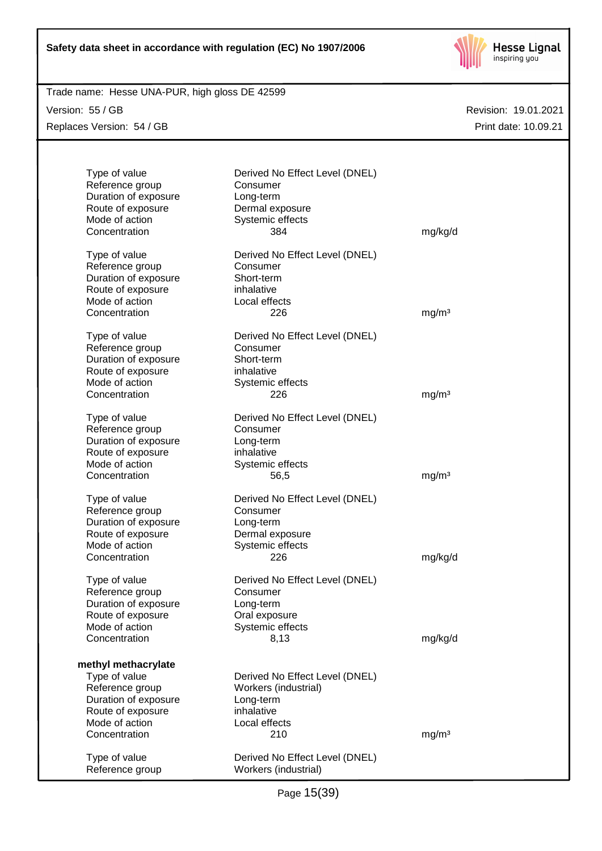

Trade name: Hesse UNA-PUR, high gloss DE 42599

Version: 55 / GB Replaces Version: 54 / GB

| Type of value<br>Reference group<br>Duration of exposure<br>Route of exposure<br>Mode of action<br>Concentration                        | Derived No Effect Level (DNEL)<br>Consumer<br>Long-term<br>Dermal exposure<br>Systemic effects<br>384     | mg/kg/d           |
|-----------------------------------------------------------------------------------------------------------------------------------------|-----------------------------------------------------------------------------------------------------------|-------------------|
| Type of value<br>Reference group<br>Duration of exposure<br>Route of exposure<br>Mode of action<br>Concentration                        | Derived No Effect Level (DNEL)<br>Consumer<br>Short-term<br>inhalative<br>Local effects<br>226            | mg/m <sup>3</sup> |
| Type of value<br>Reference group<br>Duration of exposure<br>Route of exposure<br>Mode of action<br>Concentration                        | Derived No Effect Level (DNEL)<br>Consumer<br>Short-term<br>inhalative<br>Systemic effects<br>226         | mg/m <sup>3</sup> |
| Type of value<br>Reference group<br>Duration of exposure<br>Route of exposure<br>Mode of action<br>Concentration                        | Derived No Effect Level (DNEL)<br>Consumer<br>Long-term<br>inhalative<br>Systemic effects<br>56,5         | mg/m <sup>3</sup> |
| Type of value<br>Reference group<br>Duration of exposure<br>Route of exposure<br>Mode of action<br>Concentration                        | Derived No Effect Level (DNEL)<br>Consumer<br>Long-term<br>Dermal exposure<br>Systemic effects<br>226     | mg/kg/d           |
| Type of value<br>Reference group<br>Duration of exposure<br>Route of exposure<br>Mode of action<br>Concentration                        | Derived No Effect Level (DNEL)<br>Consumer<br>Long-term<br>Oral exposure<br>Systemic effects<br>8,13      | mg/kg/d           |
| methyl methacrylate<br>Type of value<br>Reference group<br>Duration of exposure<br>Route of exposure<br>Mode of action<br>Concentration | Derived No Effect Level (DNEL)<br>Workers (industrial)<br>Long-term<br>inhalative<br>Local effects<br>210 | mg/m <sup>3</sup> |
| Type of value<br>Reference group                                                                                                        | Derived No Effect Level (DNEL)<br>Workers (industrial)                                                    |                   |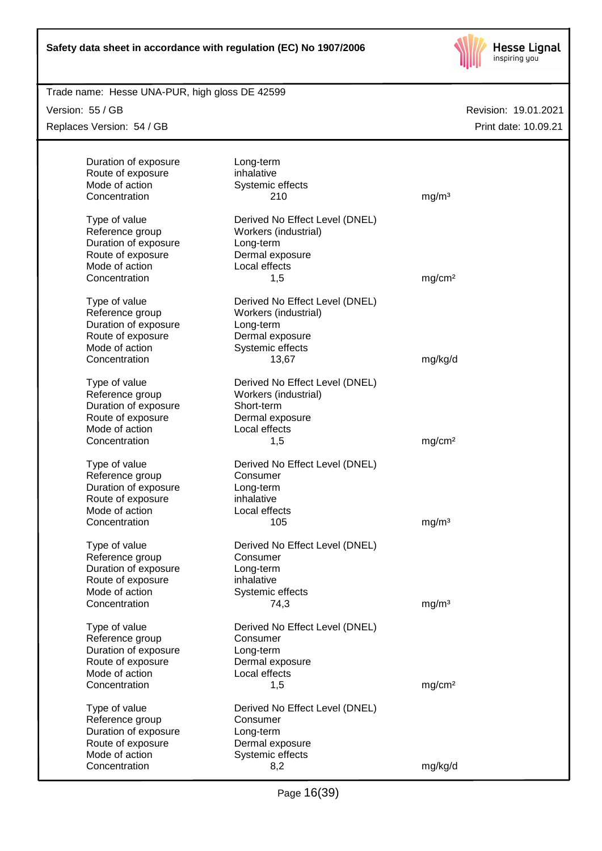

Trade name: Hesse UNA-PUR, high gloss DE 42599

Version: 55 / GB

Replaces Version: 54 / GB

| Duration of exposure<br>Route of exposure<br>Mode of action<br>Concentration                    | Long-term<br>inhalative<br>Systemic effects<br>210                                                         | mg/m <sup>3</sup>  |
|-------------------------------------------------------------------------------------------------|------------------------------------------------------------------------------------------------------------|--------------------|
| Type of value<br>Reference group<br>Duration of exposure<br>Route of exposure<br>Mode of action | Derived No Effect Level (DNEL)<br>Workers (industrial)<br>Long-term<br>Dermal exposure<br>Local effects    |                    |
| Concentration                                                                                   | 1,5                                                                                                        | mg/cm <sup>2</sup> |
| Type of value<br>Reference group<br>Duration of exposure<br>Route of exposure<br>Mode of action | Derived No Effect Level (DNEL)<br>Workers (industrial)<br>Long-term<br>Dermal exposure<br>Systemic effects |                    |
| Concentration                                                                                   | 13,67                                                                                                      | mg/kg/d            |
| Type of value<br>Reference group<br>Duration of exposure<br>Route of exposure<br>Mode of action | Derived No Effect Level (DNEL)<br>Workers (industrial)<br>Short-term<br>Dermal exposure<br>Local effects   |                    |
| Concentration                                                                                   | 1,5                                                                                                        | mg/cm <sup>2</sup> |
| Type of value<br>Reference group<br>Duration of exposure<br>Route of exposure<br>Mode of action | Derived No Effect Level (DNEL)<br>Consumer<br>Long-term<br>inhalative<br>Local effects                     |                    |
| Concentration                                                                                   | 105                                                                                                        | mg/m <sup>3</sup>  |
| Type of value<br>Reference group<br>Duration of exposure<br>Route of exposure<br>Mode of action | Derived No Effect Level (DNEL)<br>Consumer<br>Long-term<br>inhalative<br>Systemic effects                  |                    |
| Concentration                                                                                   | 74,3                                                                                                       | mg/m <sup>3</sup>  |
| Type of value<br>Reference group<br>Duration of exposure<br>Route of exposure<br>Mode of action | Derived No Effect Level (DNEL)<br>Consumer<br>Long-term<br>Dermal exposure<br>Local effects                |                    |
| Concentration                                                                                   | 1,5                                                                                                        | mg/cm <sup>2</sup> |
| Type of value<br>Reference group<br>Duration of exposure<br>Route of exposure<br>Mode of action | Derived No Effect Level (DNEL)<br>Consumer<br>Long-term<br>Dermal exposure<br>Systemic effects             |                    |
| Concentration                                                                                   | 8,2                                                                                                        | mg/kg/d            |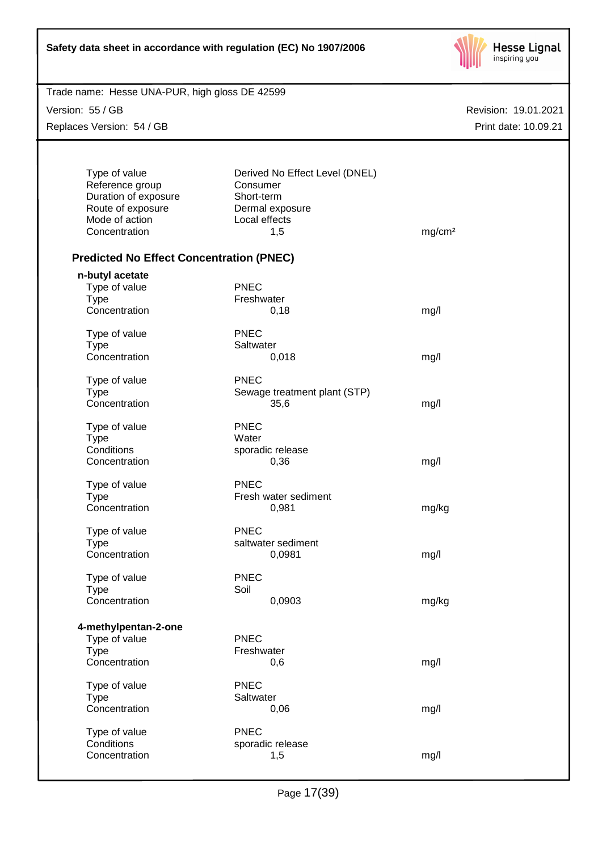| Safety data sheet in accordance with regulation (EC) No 1907/2006 |  |
|-------------------------------------------------------------------|--|
|-------------------------------------------------------------------|--|



Version: 55 / GB

Replaces Version: 54 / GB

| Type of value                                   | Derived No Effect Level (DNEL) |                    |
|-------------------------------------------------|--------------------------------|--------------------|
| Reference group                                 | Consumer                       |                    |
|                                                 |                                |                    |
| Duration of exposure                            | Short-term                     |                    |
| Route of exposure                               | Dermal exposure                |                    |
| Mode of action                                  | Local effects                  |                    |
| Concentration                                   | 1,5                            | mg/cm <sup>2</sup> |
|                                                 |                                |                    |
| <b>Predicted No Effect Concentration (PNEC)</b> |                                |                    |
| n-butyl acetate                                 |                                |                    |
| Type of value                                   | <b>PNEC</b>                    |                    |
| <b>Type</b>                                     | Freshwater                     |                    |
| Concentration                                   | 0,18                           | mg/l               |
|                                                 |                                |                    |
| Type of value                                   | <b>PNEC</b>                    |                    |
| <b>Type</b>                                     | Saltwater                      |                    |
| Concentration                                   | 0,018                          | mg/l               |
|                                                 |                                |                    |
| Type of value                                   | <b>PNEC</b>                    |                    |
| <b>Type</b>                                     | Sewage treatment plant (STP)   |                    |
| Concentration                                   | 35,6                           | mg/l               |
|                                                 |                                |                    |
| Type of value                                   | <b>PNEC</b>                    |                    |
| <b>Type</b>                                     | Water                          |                    |
| Conditions                                      | sporadic release               |                    |
| Concentration                                   | 0,36                           | mg/l               |
|                                                 |                                |                    |
| Type of value                                   | <b>PNEC</b>                    |                    |
| <b>Type</b>                                     | Fresh water sediment           |                    |
| Concentration                                   | 0,981                          | mg/kg              |
|                                                 |                                |                    |
| Type of value                                   | <b>PNEC</b>                    |                    |
| <b>Type</b>                                     | saltwater sediment             |                    |
| Concentration                                   | 0,0981                         | mg/l               |
|                                                 |                                |                    |
| Type of value                                   | <b>PNEC</b>                    |                    |
| <b>Type</b>                                     | Soil                           |                    |
| Concentration                                   | 0,0903                         | mg/kg              |
|                                                 |                                |                    |
| 4-methylpentan-2-one                            |                                |                    |
| Type of value                                   | <b>PNEC</b>                    |                    |
| <b>Type</b>                                     | Freshwater                     |                    |
| Concentration                                   | 0,6                            | mg/l               |
|                                                 |                                |                    |
| Type of value                                   | <b>PNEC</b>                    |                    |
| <b>Type</b>                                     | Saltwater                      |                    |
| Concentration                                   | 0,06                           | mg/l               |
|                                                 |                                |                    |
| Type of value                                   | <b>PNEC</b>                    |                    |
| Conditions                                      | sporadic release               |                    |
| Concentration                                   | 1,5                            | mg/l               |
|                                                 |                                |                    |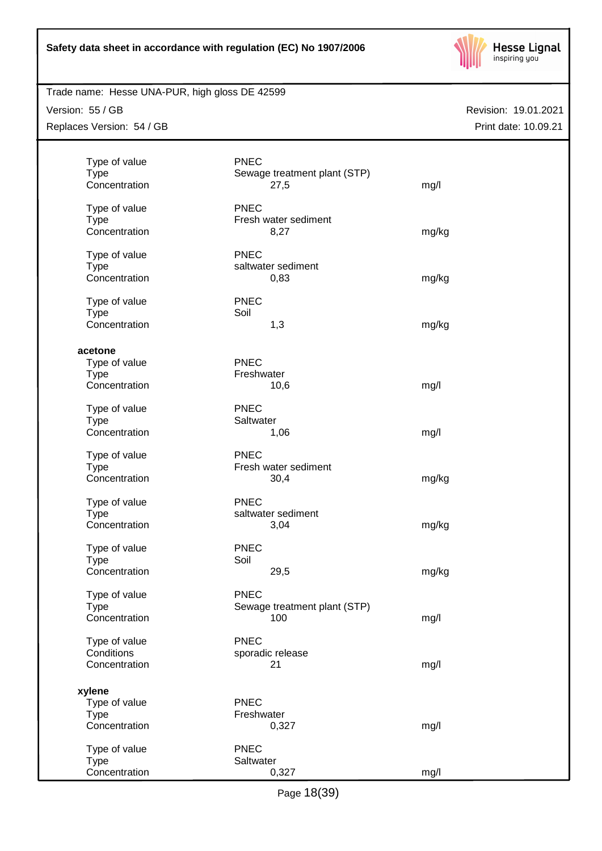

## Trade name: Hesse UNA-PUR, high gloss DE 42599

Version: 55 / GB

Replaces Version: 54 / GB

| Type of value<br><b>Type</b><br>Concentration           | <b>PNEC</b><br>Sewage treatment plant (STP)<br>27,5 | mg/l  |
|---------------------------------------------------------|-----------------------------------------------------|-------|
| Type of value<br><b>Type</b><br>Concentration           | <b>PNEC</b><br>Fresh water sediment<br>8,27         | mg/kg |
| Type of value<br><b>Type</b><br>Concentration           | <b>PNEC</b><br>saltwater sediment<br>0,83           | mg/kg |
| Type of value<br><b>Type</b><br>Concentration           | <b>PNEC</b><br>Soil<br>1,3                          | mg/kg |
| acetone                                                 |                                                     |       |
| Type of value<br><b>Type</b><br>Concentration           | <b>PNEC</b><br>Freshwater<br>10,6                   | mg/l  |
| Type of value<br>Type<br>Concentration                  | <b>PNEC</b><br>Saltwater<br>1,06                    | mg/l  |
| Type of value<br><b>Type</b><br>Concentration           | <b>PNEC</b><br>Fresh water sediment<br>30,4         | mg/kg |
| Type of value<br><b>Type</b><br>Concentration           | <b>PNEC</b><br>saltwater sediment<br>3,04           | mg/kg |
| Type of value<br><b>Type</b><br>Concentration           | <b>PNEC</b><br>Soil<br>29,5                         | mg/kg |
| Type of value<br><b>Type</b><br>Concentration           | <b>PNEC</b><br>Sewage treatment plant (STP)<br>100  | mg/l  |
| Type of value<br>Conditions<br>Concentration            | <b>PNEC</b><br>sporadic release<br>21               | mg/l  |
| xylene<br>Type of value<br><b>Type</b><br>Concentration | <b>PNEC</b><br>Freshwater<br>0,327                  | mg/l  |
| Type of value<br><b>Type</b><br>Concentration           | <b>PNEC</b><br>Saltwater<br>0,327                   | mg/l  |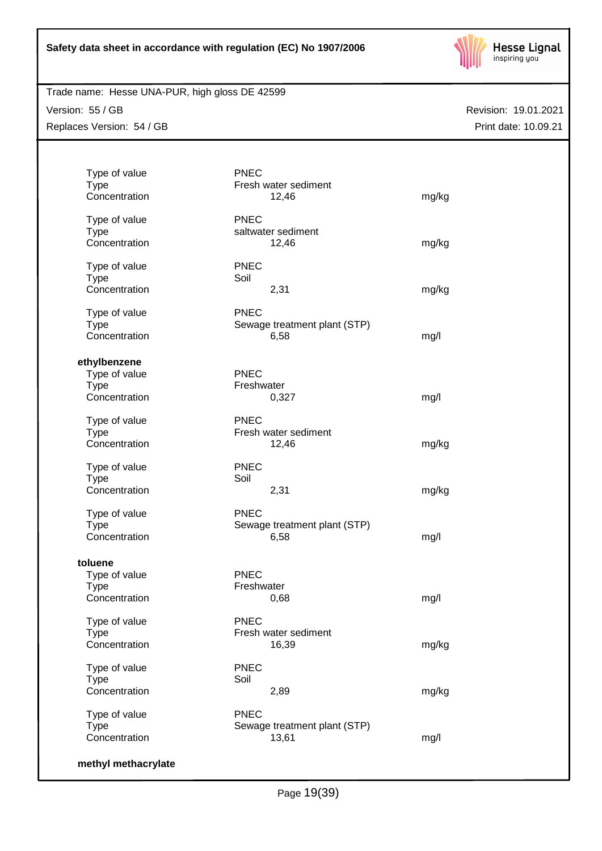

## Trade name: Hesse UNA-PUR, high gloss DE 42599

Version: 55 / GB Replaces Version: 54 / GB

| Type of value<br><b>Type</b> | <b>PNEC</b><br>Fresh water sediment |       |
|------------------------------|-------------------------------------|-------|
| Concentration                | 12,46                               | mg/kg |
| Type of value                | <b>PNEC</b>                         |       |
| <b>Type</b>                  | saltwater sediment                  |       |
| Concentration                | 12,46                               | mg/kg |
| Type of value                | <b>PNEC</b>                         |       |
| <b>Type</b>                  | Soil                                |       |
| Concentration                | 2,31                                | mg/kg |
| Type of value                | <b>PNEC</b>                         |       |
| <b>Type</b>                  | Sewage treatment plant (STP)        |       |
| Concentration                | 6,58                                | mg/l  |
| ethylbenzene                 |                                     |       |
| Type of value                | <b>PNEC</b>                         |       |
| <b>Type</b>                  | Freshwater                          |       |
| Concentration                | 0,327                               | mg/l  |
| Type of value                | <b>PNEC</b>                         |       |
| <b>Type</b>                  | Fresh water sediment                |       |
| Concentration                | 12,46                               | mg/kg |
| Type of value                | <b>PNEC</b>                         |       |
| <b>Type</b>                  | Soil                                |       |
| Concentration                | 2,31                                | mg/kg |
| Type of value                | <b>PNEC</b>                         |       |
| <b>Type</b>                  | Sewage treatment plant (STP)        |       |
| Concentration                | 6,58                                | mg/l  |
| toluene                      |                                     |       |
| Type of value                | <b>PNEC</b>                         |       |
| <b>Type</b>                  | Freshwater                          |       |
| Concentration                | 0.68                                | mg/l  |
| Type of value                | <b>PNEC</b>                         |       |
| <b>Type</b>                  | Fresh water sediment                |       |
| Concentration                | 16,39                               | mg/kg |
| Type of value                | <b>PNEC</b>                         |       |
| <b>Type</b>                  | Soil                                |       |
| Concentration                | 2,89                                | mg/kg |
| Type of value                | <b>PNEC</b>                         |       |
| <b>Type</b>                  | Sewage treatment plant (STP)        |       |
| Concentration                | 13,61                               | mg/l  |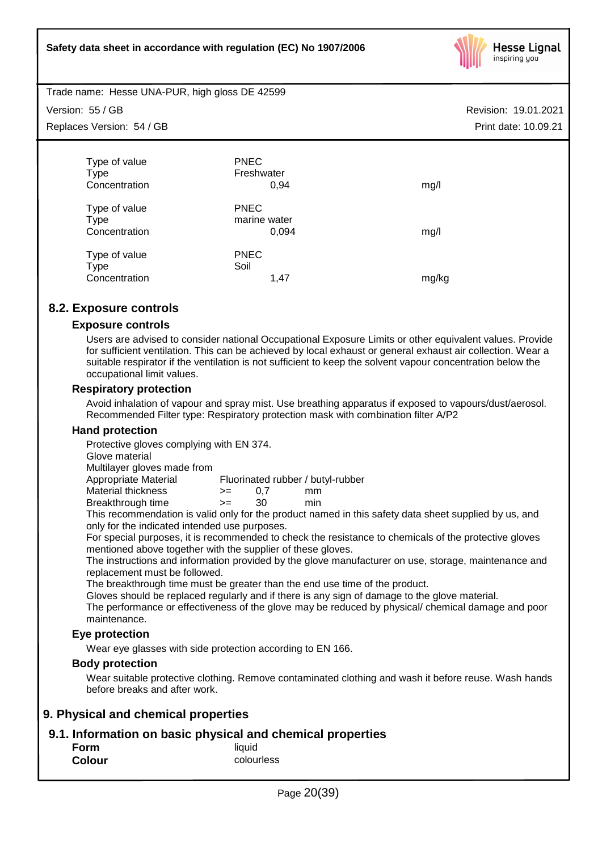

Trade name: Hesse UNA-PUR, high gloss DE 42599

Version: 55 / GB

Replaces Version: 54 / GB

| <b>PNEC</b>  |       |
|--------------|-------|
| Freshwater   |       |
| 0,94         | mg/l  |
| <b>PNEC</b>  |       |
| marine water |       |
| 0,094        | mg/l  |
| <b>PNEC</b>  |       |
| Soil         |       |
| 1,47         | mg/kg |
|              |       |

## **8.2. Exposure controls**

## **Exposure controls**

Users are advised to consider national Occupational Exposure Limits or other equivalent values. Provide for sufficient ventilation. This can be achieved by local exhaust or general exhaust air collection. Wear a suitable respirator if the ventilation is not sufficient to keep the solvent vapour concentration below the occupational limit values.

## **Respiratory protection**

Avoid inhalation of vapour and spray mist. Use breathing apparatus if exposed to vapours/dust/aerosol. Recommended Filter type: Respiratory protection mask with combination filter A/P2

## **Hand protection**

Protective gloves complying with EN 374.

Glove material

Multilayer gloves made from

Appropriate Material Fluorinated rubber / butyl-rubber

Material thickness  $\rightarrow$  = 0.7 mm Breakthrough time >= 30 min

This recommendation is valid only for the product named in this safety data sheet supplied by us, and only for the indicated intended use purposes.

For special purposes, it is recommended to check the resistance to chemicals of the protective gloves mentioned above together with the supplier of these gloves.

The instructions and information provided by the glove manufacturer on use, storage, maintenance and replacement must be followed.

The breakthrough time must be greater than the end use time of the product.

Gloves should be replaced regularly and if there is any sign of damage to the glove material.

The performance or effectiveness of the glove may be reduced by physical/ chemical damage and poor maintenance.

## **Eye protection**

Wear eye glasses with side protection according to EN 166.

## **Body protection**

Wear suitable protective clothing. Remove contaminated clothing and wash it before reuse. Wash hands before breaks and after work.

## **9. Physical and chemical properties**

## **9.1. Information on basic physical and chemical properties**

| Form          | liquid     |
|---------------|------------|
| <b>Colour</b> | colourless |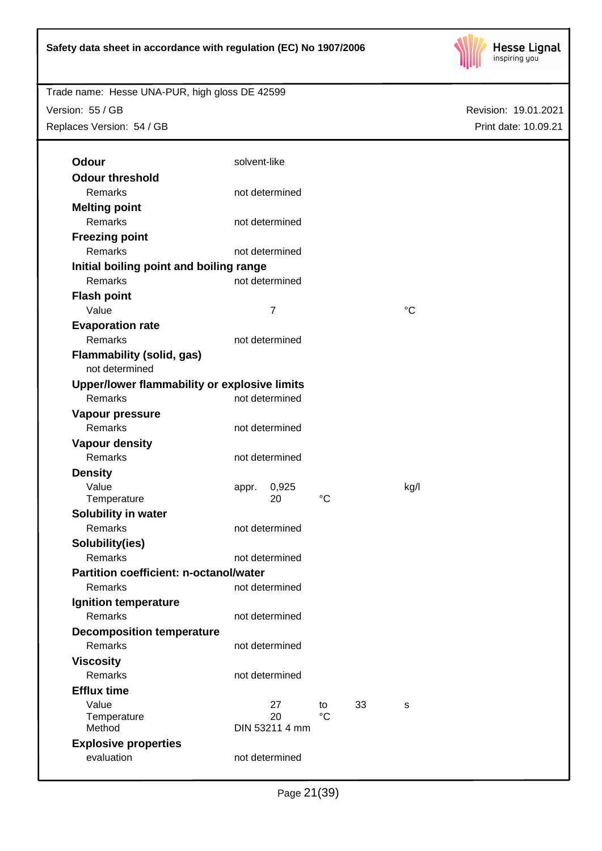

Trade name: Hesse UNA-PUR, high gloss DE 42599 Version: 55 / GB

Replaces Version: 54 / GB

| Odour                                         | solvent-like   |             |    |      |
|-----------------------------------------------|----------------|-------------|----|------|
| <b>Odour threshold</b>                        |                |             |    |      |
| Remarks                                       | not determined |             |    |      |
| <b>Melting point</b>                          |                |             |    |      |
| Remarks                                       | not determined |             |    |      |
| <b>Freezing point</b>                         |                |             |    |      |
| Remarks                                       | not determined |             |    |      |
| Initial boiling point and boiling range       |                |             |    |      |
| Remarks                                       | not determined |             |    |      |
| <b>Flash point</b>                            |                |             |    |      |
| Value                                         | 7              |             |    | °C   |
| <b>Evaporation rate</b>                       |                |             |    |      |
| Remarks                                       | not determined |             |    |      |
| Flammability (solid, gas)                     |                |             |    |      |
| not determined                                |                |             |    |      |
| Upper/lower flammability or explosive limits  |                |             |    |      |
| Remarks                                       | not determined |             |    |      |
| Vapour pressure                               |                |             |    |      |
| Remarks                                       | not determined |             |    |      |
| <b>Vapour density</b>                         |                |             |    |      |
| Remarks                                       | not determined |             |    |      |
| <b>Density</b>                                |                |             |    |      |
| Value                                         | 0,925<br>appr. |             |    | kg/l |
| Temperature                                   | 20             | °C          |    |      |
| Solubility in water                           |                |             |    |      |
| Remarks                                       | not determined |             |    |      |
| Solubility(ies)                               |                |             |    |      |
| Remarks                                       | not determined |             |    |      |
| <b>Partition coefficient: n-octanol/water</b> |                |             |    |      |
| Remarks                                       | not determined |             |    |      |
| Ignition temperature                          |                |             |    |      |
| Remarks                                       | not determined |             |    |      |
| <b>Decomposition temperature</b>              |                |             |    |      |
| Remarks                                       | not determined |             |    |      |
| <b>Viscosity</b>                              |                |             |    |      |
| Remarks                                       | not determined |             |    |      |
| <b>Efflux time</b>                            |                |             |    |      |
| Value                                         | 27             | to          | 33 | S    |
| Temperature                                   | 20             | $^{\circ}C$ |    |      |
| Method                                        | DIN 53211 4 mm |             |    |      |
| <b>Explosive properties</b>                   |                |             |    |      |
| evaluation                                    | not determined |             |    |      |
|                                               |                |             |    |      |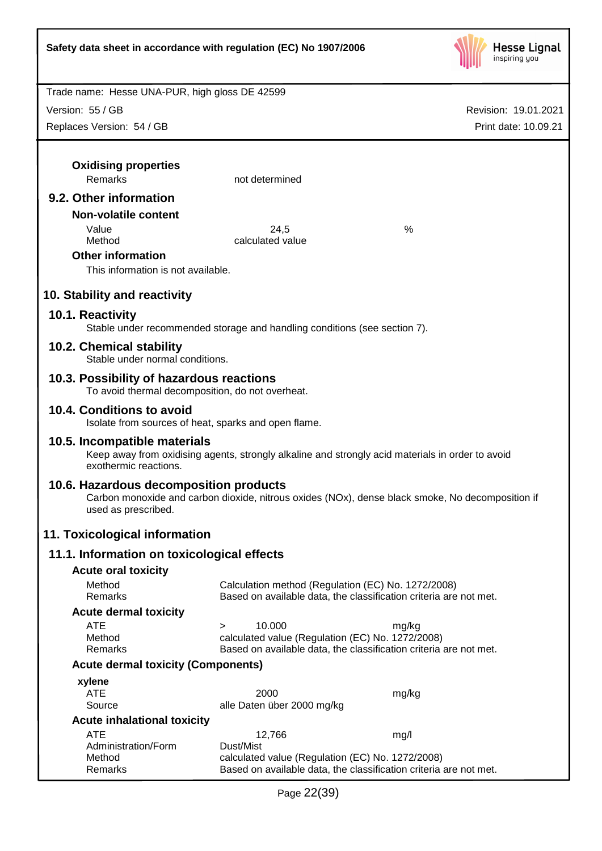

Revision: 19.01.2021

Trade name: Hesse UNA-PUR, high gloss DE 42599

Version: 55 / GB

| Replaces Version: 54 / GB                                                         |                                                                                                                         | Print date: 10.09.21                                                                             |
|-----------------------------------------------------------------------------------|-------------------------------------------------------------------------------------------------------------------------|--------------------------------------------------------------------------------------------------|
| <b>Oxidising properties</b><br>Remarks                                            | not determined                                                                                                          |                                                                                                  |
|                                                                                   |                                                                                                                         |                                                                                                  |
| 9.2. Other information                                                            |                                                                                                                         |                                                                                                  |
| <b>Non-volatile content</b>                                                       |                                                                                                                         |                                                                                                  |
| Value<br>Method                                                                   | 24,5<br>calculated value                                                                                                | %                                                                                                |
| <b>Other information</b>                                                          |                                                                                                                         |                                                                                                  |
| This information is not available.                                                |                                                                                                                         |                                                                                                  |
| 10. Stability and reactivity                                                      |                                                                                                                         |                                                                                                  |
| 10.1. Reactivity                                                                  |                                                                                                                         |                                                                                                  |
|                                                                                   | Stable under recommended storage and handling conditions (see section 7).                                               |                                                                                                  |
| 10.2. Chemical stability<br>Stable under normal conditions.                       |                                                                                                                         |                                                                                                  |
| 10.3. Possibility of hazardous reactions                                          |                                                                                                                         |                                                                                                  |
| To avoid thermal decomposition, do not overheat.                                  |                                                                                                                         |                                                                                                  |
| 10.4. Conditions to avoid<br>Isolate from sources of heat, sparks and open flame. |                                                                                                                         |                                                                                                  |
| 10.5. Incompatible materials<br>exothermic reactions.                             |                                                                                                                         | Keep away from oxidising agents, strongly alkaline and strongly acid materials in order to avoid |
| 10.6. Hazardous decomposition products<br>used as prescribed.                     |                                                                                                                         | Carbon monoxide and carbon dioxide, nitrous oxides (NOx), dense black smoke, No decomposition if |
| 11. Toxicological information                                                     |                                                                                                                         |                                                                                                  |
| 11.1. Information on toxicological effects                                        |                                                                                                                         |                                                                                                  |
| <b>Acute oral toxicity</b>                                                        |                                                                                                                         |                                                                                                  |
| Method<br>Remarks                                                                 | Calculation method (Regulation (EC) No. 1272/2008)<br>Based on available data, the classification criteria are not met. |                                                                                                  |
| <b>Acute dermal toxicity</b>                                                      |                                                                                                                         |                                                                                                  |
| ATE                                                                               | 10.000<br>$\geq$                                                                                                        | mg/kg                                                                                            |
| Method<br>Remarks                                                                 | calculated value (Regulation (EC) No. 1272/2008)<br>Based on available data, the classification criteria are not met.   |                                                                                                  |
| <b>Acute dermal toxicity (Components)</b>                                         |                                                                                                                         |                                                                                                  |
| xylene                                                                            |                                                                                                                         |                                                                                                  |
| <b>ATE</b>                                                                        | 2000                                                                                                                    | mg/kg                                                                                            |
| Source                                                                            | alle Daten über 2000 mg/kg                                                                                              |                                                                                                  |
| <b>Acute inhalational toxicity</b>                                                |                                                                                                                         |                                                                                                  |
| <b>ATE</b><br>Administration/Form                                                 | 12,766<br>Dust/Mist                                                                                                     | mg/l                                                                                             |
| Method                                                                            | calculated value (Regulation (EC) No. 1272/2008)                                                                        |                                                                                                  |
| Remarks                                                                           | Based on available data, the classification criteria are not met.                                                       |                                                                                                  |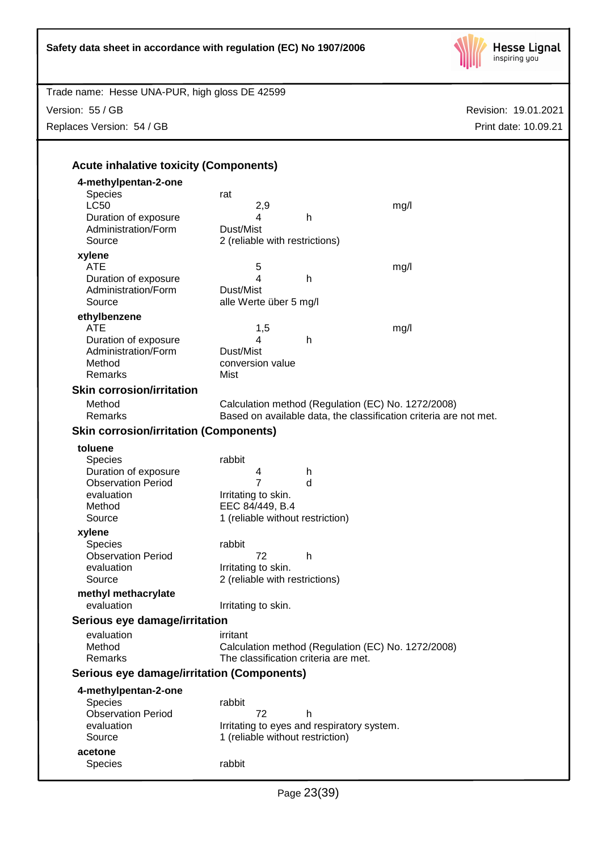

Revision: 19.01.2021 Trade name: Hesse UNA-PUR, high gloss DE 42599 Print date: 10.09.21 Version: 55 / GB Replaces Version: 54 / GB **Acute inhalative toxicity (Components) 4-methylpentan-2-one** Species rat<br>LC50 LC50 2,9 mg/l Duration of exposure **4** h Administration/Form Dust/Mist Source 2 (reliable with restrictions) **xylene** ATE 5 mg/l Duration of exposure 4 h Administration/Form Dust/Mist Source alle Werte über 5 mg/l **ethylbenzene** ATE 1,5 mg/l Duration of exposure 14 h Administration/Form Dust/Mist Method **conversion value** Remarks Mist **Skin corrosion/irritation** Method Calculation method (Regulation (EC) No. 1272/2008)<br>Remarks Based on available data, the classification criteria are Based on available data, the classification criteria are not met. **Skin corrosion/irritation (Components) toluene** Species rabbit Duration of exposure 14 h Observation Period 7 d evaluation **I**rritating to skin. Method **EEC 84/449, B.4** Source 1 (reliable without restriction) **xylene** Species rabbit Observation Period 72 h evaluation **I**rritating to skin. Source 2 (reliable with restrictions) **methyl methacrylate** evaluation **I**rritating to skin. **Serious eye damage/irritation** evaluation irritant Method Calculation method (Regulation (EC) No. 1272/2008) Remarks The classification criteria are met. **Serious eye damage/irritation (Components) 4-methylpentan-2-one** Species rabbit Observation Period 72 h evaluation **I**rritating to eyes and respiratory system. Source 1 (reliable without restriction) **acetone** Species rabbit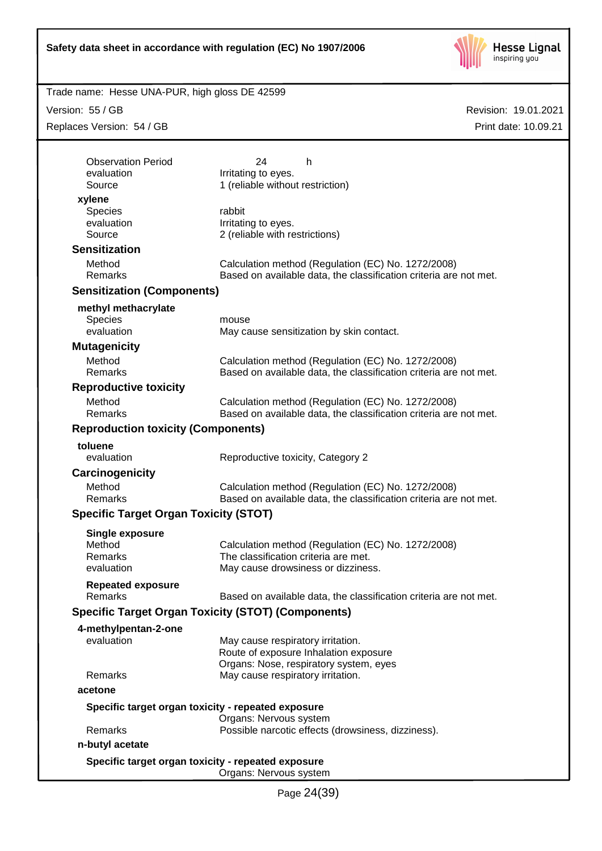

Trade name: Hesse UNA-PUR, high gloss DE 42599

Version: 55 / GB

Replaces Version: 54 / GB

| <b>Observation Period</b>                    | 24<br>h                                                                                                                 |
|----------------------------------------------|-------------------------------------------------------------------------------------------------------------------------|
| evaluation<br>Source                         | Irritating to eyes.<br>1 (reliable without restriction)                                                                 |
| xylene                                       |                                                                                                                         |
| Species                                      | rabbit                                                                                                                  |
| evaluation                                   | Irritating to eyes.                                                                                                     |
| Source                                       | 2 (reliable with restrictions)                                                                                          |
| <b>Sensitization</b>                         |                                                                                                                         |
| Method                                       | Calculation method (Regulation (EC) No. 1272/2008)                                                                      |
| Remarks                                      | Based on available data, the classification criteria are not met.                                                       |
| <b>Sensitization (Components)</b>            |                                                                                                                         |
| methyl methacrylate                          |                                                                                                                         |
| <b>Species</b>                               | mouse                                                                                                                   |
| evaluation                                   | May cause sensitization by skin contact.                                                                                |
| <b>Mutagenicity</b>                          |                                                                                                                         |
| Method                                       | Calculation method (Regulation (EC) No. 1272/2008)                                                                      |
| Remarks                                      | Based on available data, the classification criteria are not met.                                                       |
| <b>Reproductive toxicity</b>                 |                                                                                                                         |
| Method<br>Remarks                            | Calculation method (Regulation (EC) No. 1272/2008)                                                                      |
|                                              | Based on available data, the classification criteria are not met.                                                       |
| <b>Reproduction toxicity (Components)</b>    |                                                                                                                         |
| toluene                                      |                                                                                                                         |
| evaluation                                   | Reproductive toxicity, Category 2                                                                                       |
| Carcinogenicity                              |                                                                                                                         |
| Method<br>Remarks                            | Calculation method (Regulation (EC) No. 1272/2008)<br>Based on available data, the classification criteria are not met. |
|                                              |                                                                                                                         |
| <b>Specific Target Organ Toxicity (STOT)</b> |                                                                                                                         |
| <b>Single exposure</b>                       |                                                                                                                         |
| Method<br>Remarks                            | Calculation method (Regulation (EC) No. 1272/2008)<br>The classification criteria are met.                              |
| evaluation                                   | May cause drowsiness or dizziness.                                                                                      |
|                                              |                                                                                                                         |
| <b>Repeated exposure</b><br>Remarks          | Based on available data, the classification criteria are not met.                                                       |
|                                              | <b>Specific Target Organ Toxicity (STOT) (Components)</b>                                                               |
|                                              |                                                                                                                         |
| 4-methylpentan-2-one<br>evaluation           | May cause respiratory irritation.                                                                                       |
|                                              | Route of exposure Inhalation exposure                                                                                   |
|                                              | Organs: Nose, respiratory system, eyes                                                                                  |
| Remarks                                      | May cause respiratory irritation.                                                                                       |
| acetone                                      |                                                                                                                         |
|                                              | Specific target organ toxicity - repeated exposure                                                                      |
|                                              | Organs: Nervous system                                                                                                  |
| Remarks                                      | Possible narcotic effects (drowsiness, dizziness).                                                                      |
| n-butyl acetate                              |                                                                                                                         |
|                                              | Specific target organ toxicity - repeated exposure                                                                      |
|                                              | Organs: Nervous system                                                                                                  |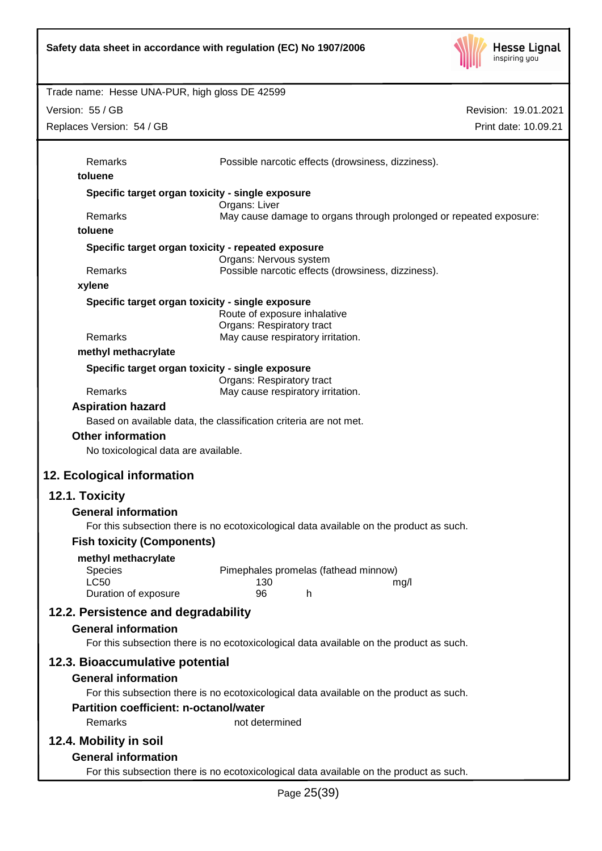

Revision: 19.01.2021 Trade name: Hesse UNA-PUR, high gloss DE 42599 Print date: 10.09.21 Version: 55 / GB Replaces Version: 54 / GB Page 25(39) Remarks Possible narcotic effects (drowsiness, dizziness). **toluene Specific target organ toxicity - single exposure** Organs: Liver Remarks May cause damage to organs through prolonged or repeated exposure: **toluene Specific target organ toxicity - repeated exposure** Organs: Nervous system Remarks Possible narcotic effects (drowsiness, dizziness). **xylene Specific target organ toxicity - single exposure** Route of exposure inhalative Organs: Respiratory tract Remarks May cause respiratory irritation. **methyl methacrylate Specific target organ toxicity - single exposure** Organs: Respiratory tract Remarks May cause respiratory irritation. **Aspiration hazard** Based on available data, the classification criteria are not met. **Other information** No toxicological data are available. **12. Ecological information 12.1. Toxicity General information** For this subsection there is no ecotoxicological data available on the product as such. **Fish toxicity (Components) methyl methacrylate** Species Pimephales promelas (fathead minnow) LC50 130 mg/l Duration of exposure 96 h **12.2. Persistence and degradability General information** For this subsection there is no ecotoxicological data available on the product as such. **12.3. Bioaccumulative potential General information** For this subsection there is no ecotoxicological data available on the product as such. **Partition coefficient: n-octanol/water** Remarks not determined **12.4. Mobility in soil General information** For this subsection there is no ecotoxicological data available on the product as such.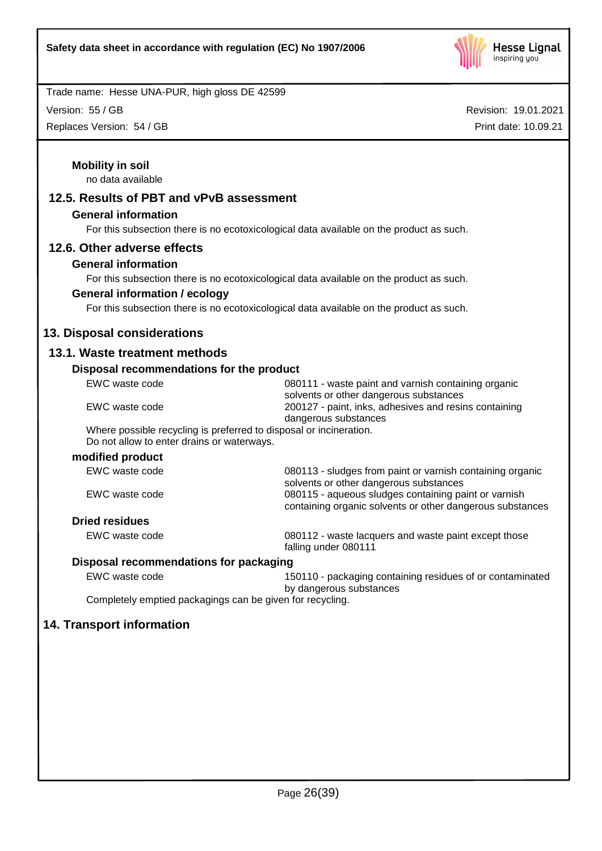

Version: 55 / GB

Replaces Version: 54 / GB

| <b>Mobility in soil</b>                                            |                                                                                                |
|--------------------------------------------------------------------|------------------------------------------------------------------------------------------------|
| no data available                                                  |                                                                                                |
| 12.5. Results of PBT and vPvB assessment                           |                                                                                                |
| <b>General information</b>                                         |                                                                                                |
|                                                                    | For this subsection there is no ecotoxicological data available on the product as such.        |
| 12.6. Other adverse effects                                        |                                                                                                |
| <b>General information</b>                                         |                                                                                                |
|                                                                    | For this subsection there is no ecotoxicological data available on the product as such.        |
| <b>General information / ecology</b>                               |                                                                                                |
|                                                                    | For this subsection there is no ecotoxicological data available on the product as such.        |
| 13. Disposal considerations                                        |                                                                                                |
| 13.1. Waste treatment methods                                      |                                                                                                |
| Disposal recommendations for the product                           |                                                                                                |
| EWC waste code                                                     | 080111 - waste paint and varnish containing organic                                            |
|                                                                    | solvents or other dangerous substances                                                         |
| EWC waste code                                                     | 200127 - paint, inks, adhesives and resins containing<br>dangerous substances                  |
| Where possible recycling is preferred to disposal or incineration. |                                                                                                |
| Do not allow to enter drains or waterways.                         |                                                                                                |
| modified product                                                   |                                                                                                |
| EWC waste code                                                     | 080113 - sludges from paint or varnish containing organic                                      |
| EWC waste code                                                     | solvents or other dangerous substances<br>080115 - aqueous sludges containing paint or varnish |
|                                                                    | containing organic solvents or other dangerous substances                                      |
| <b>Dried residues</b>                                              |                                                                                                |
| EWC waste code                                                     | 080112 - waste lacquers and waste paint except those<br>falling under 080111                   |
| Disposal recommendations for packaging                             |                                                                                                |
| EWC waste code                                                     | 150110 - packaging containing residues of or contaminated                                      |
| Completely emptied packagings can be given for recycling.          | by dangerous substances                                                                        |
|                                                                    |                                                                                                |
| 14. Transport information                                          |                                                                                                |
|                                                                    |                                                                                                |
|                                                                    |                                                                                                |
|                                                                    |                                                                                                |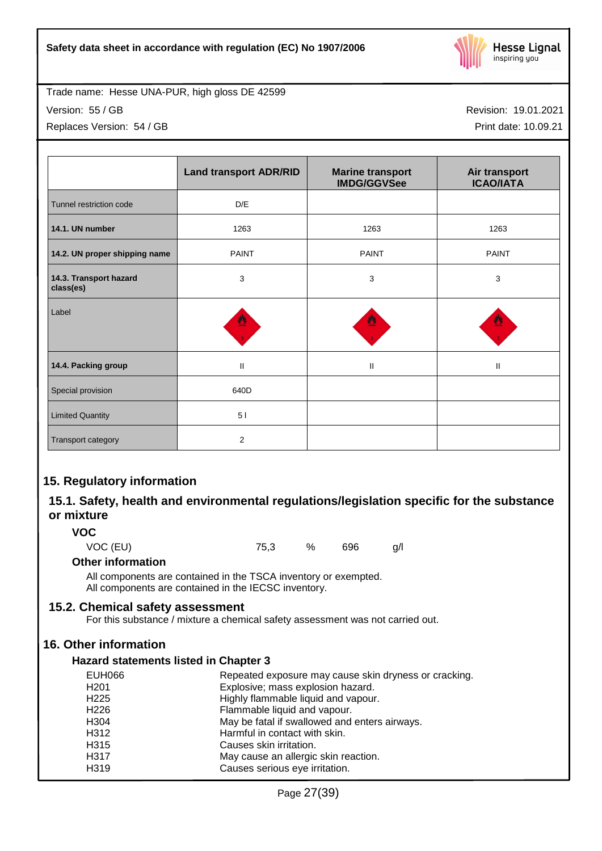

Version: 55 / GB

Replaces Version: 54 / GB

Revision: 19.01.2021

Print date: 10.09.21

|                                     | <b>Land transport ADR/RID</b> | <b>Marine transport</b><br><b>IMDG/GGVSee</b> | Air transport<br><b>ICAO/IATA</b> |
|-------------------------------------|-------------------------------|-----------------------------------------------|-----------------------------------|
| Tunnel restriction code             | D/E                           |                                               |                                   |
| 14.1. UN number                     | 1263                          | 1263                                          | 1263                              |
| 14.2. UN proper shipping name       | <b>PAINT</b>                  | <b>PAINT</b>                                  | <b>PAINT</b>                      |
| 14.3. Transport hazard<br>class(es) | 3                             | 3                                             | 3                                 |
| Label                               | ≝                             |                                               |                                   |
| 14.4. Packing group                 | $\mathbf{I}$                  | $\mathbf{II}$                                 | $\mathbf{I}$                      |
| Special provision                   | 640D                          |                                               |                                   |
| <b>Limited Quantity</b>             | 51                            |                                               |                                   |
| Transport category                  | $\overline{2}$                |                                               |                                   |

## **15. Regulatory information**

## **15.1. Safety, health and environmental regulations/legislation specific for the substance or mixture**

**VOC**

VOC (EU) 75,3 % 696 g/l

## **Other information**

All components are contained in the TSCA inventory or exempted. All components are contained in the IECSC inventory.

## **15.2. Chemical safety assessment**

For this substance / mixture a chemical safety assessment was not carried out.

## **16. Other information**

## **Hazard statements listed in Chapter 3**

| <b>EUH066</b>    | Repeated exposure may cause skin dryness or cracking. |
|------------------|-------------------------------------------------------|
| H <sub>201</sub> | Explosive; mass explosion hazard.                     |
| H <sub>225</sub> | Highly flammable liquid and vapour.                   |
| H <sub>226</sub> | Flammable liquid and vapour.                          |
| H <sub>304</sub> | May be fatal if swallowed and enters airways.         |
| H312             | Harmful in contact with skin.                         |
| H <sub>315</sub> | Causes skin irritation.                               |
| H317             | May cause an allergic skin reaction.                  |
| H319             | Causes serious eye irritation.                        |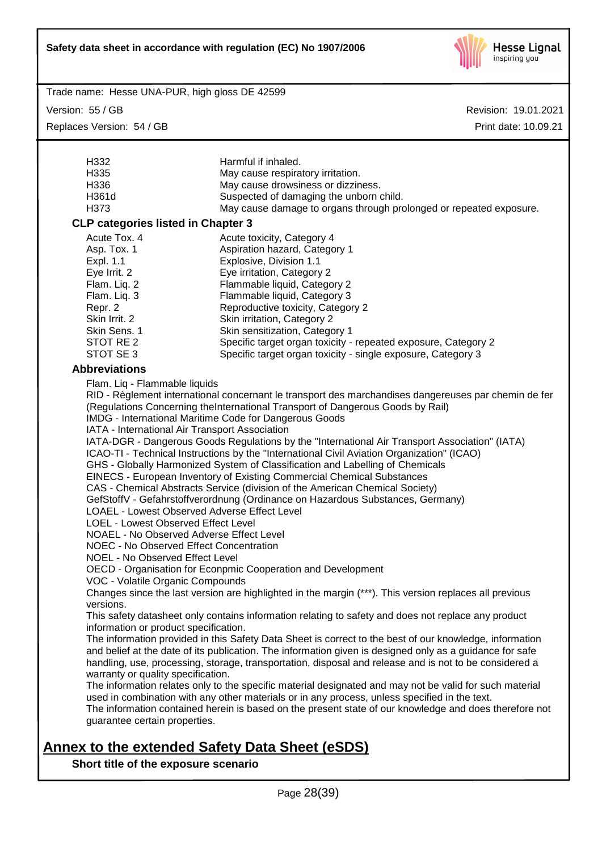

Version: 55 / GB

Replaces Version: 54 / GB

Revision: 19.01.2021 Print date: 10.09.21

| H332                                                                                                                                             | Harmful if inhaled.                                                                                      |  |  |
|--------------------------------------------------------------------------------------------------------------------------------------------------|----------------------------------------------------------------------------------------------------------|--|--|
| H <sub>335</sub>                                                                                                                                 | May cause respiratory irritation.                                                                        |  |  |
| H336                                                                                                                                             | May cause drowsiness or dizziness.                                                                       |  |  |
| H361d                                                                                                                                            | Suspected of damaging the unborn child.                                                                  |  |  |
| H373                                                                                                                                             | May cause damage to organs through prolonged or repeated exposure.                                       |  |  |
|                                                                                                                                                  |                                                                                                          |  |  |
| <b>CLP categories listed in Chapter 3</b>                                                                                                        |                                                                                                          |  |  |
| Acute Tox. 4                                                                                                                                     | Acute toxicity, Category 4                                                                               |  |  |
| Asp. Tox. 1                                                                                                                                      | Aspiration hazard, Category 1                                                                            |  |  |
| Expl. 1.1                                                                                                                                        | Explosive, Division 1.1                                                                                  |  |  |
| Eye Irrit. 2                                                                                                                                     | Eye irritation, Category 2                                                                               |  |  |
| Flam. Liq. 2                                                                                                                                     | Flammable liquid, Category 2                                                                             |  |  |
| Flam. Liq. 3                                                                                                                                     | Flammable liquid, Category 3                                                                             |  |  |
| Repr. 2                                                                                                                                          | Reproductive toxicity, Category 2                                                                        |  |  |
| Skin Irrit. 2                                                                                                                                    | Skin irritation, Category 2                                                                              |  |  |
| Skin Sens. 1                                                                                                                                     | Skin sensitization, Category 1                                                                           |  |  |
| STOT RE 2                                                                                                                                        |                                                                                                          |  |  |
|                                                                                                                                                  | Specific target organ toxicity - repeated exposure, Category 2                                           |  |  |
| STOT SE 3                                                                                                                                        | Specific target organ toxicity - single exposure, Category 3                                             |  |  |
| <b>Abbreviations</b>                                                                                                                             |                                                                                                          |  |  |
| Flam. Liq - Flammable liquids                                                                                                                    |                                                                                                          |  |  |
|                                                                                                                                                  | RID - Règlement international concernant le transport des marchandises dangereuses par chemin de fer     |  |  |
|                                                                                                                                                  | (Regulations Concerning theInternational Transport of Dangerous Goods by Rail)                           |  |  |
|                                                                                                                                                  | IMDG - International Maritime Code for Dangerous Goods                                                   |  |  |
|                                                                                                                                                  |                                                                                                          |  |  |
| IATA - International Air Transport Association<br>IATA-DGR - Dangerous Goods Regulations by the "International Air Transport Association" (IATA) |                                                                                                          |  |  |
|                                                                                                                                                  |                                                                                                          |  |  |
| ICAO-TI - Technical Instructions by the "International Civil Aviation Organization" (ICAO)                                                       |                                                                                                          |  |  |
| GHS - Globally Harmonized System of Classification and Labelling of Chemicals                                                                    |                                                                                                          |  |  |
| EINECS - European Inventory of Existing Commercial Chemical Substances                                                                           |                                                                                                          |  |  |
| CAS - Chemical Abstracts Service (division of the American Chemical Society)                                                                     |                                                                                                          |  |  |
| GefStoffV - Gefahrstoffverordnung (Ordinance on Hazardous Substances, Germany)                                                                   |                                                                                                          |  |  |
| <b>LOAEL - Lowest Observed Adverse Effect Level</b>                                                                                              |                                                                                                          |  |  |
| LOEL - Lowest Observed Effect Level                                                                                                              |                                                                                                          |  |  |
| <b>NOAEL - No Observed Adverse Effect Level</b>                                                                                                  |                                                                                                          |  |  |
| <b>NOEC - No Observed Effect Concentration</b>                                                                                                   |                                                                                                          |  |  |
| <b>NOEL - No Observed Effect Level</b>                                                                                                           |                                                                                                          |  |  |
| OECD - Organisation for Econpmic Cooperation and Development                                                                                     |                                                                                                          |  |  |
| VOC - Volatile Organic Compounds                                                                                                                 |                                                                                                          |  |  |
| Changes since the last version are highlighted in the margin (***). This version replaces all previous                                           |                                                                                                          |  |  |
| versions.                                                                                                                                        |                                                                                                          |  |  |
|                                                                                                                                                  | This safety datasheet only contains information relating to safety and does not replace any product      |  |  |
| information or product specification.                                                                                                            |                                                                                                          |  |  |
|                                                                                                                                                  | The information provided in this Safety Data Sheet is correct to the best of our knowledge, information  |  |  |
|                                                                                                                                                  | and belief at the date of its publication. The information given is designed only as a guidance for safe |  |  |
| handling, use, processing, storage, transportation, disposal and release and is not to be considered a                                           |                                                                                                          |  |  |
| warranty or quality specification.                                                                                                               |                                                                                                          |  |  |
|                                                                                                                                                  | The information relates only to the specific material designated and may not be valid for such material  |  |  |
|                                                                                                                                                  | used in combination with any other materials or in any process, unless specified in the text.            |  |  |
| The information contained herein is based on the present state of our knowledge and does therefore not                                           |                                                                                                          |  |  |
| guarantee certain properties.                                                                                                                    |                                                                                                          |  |  |
|                                                                                                                                                  |                                                                                                          |  |  |

# **Annex to the extended Safety Data Sheet (eSDS)**

**Short title of the exposure scenario**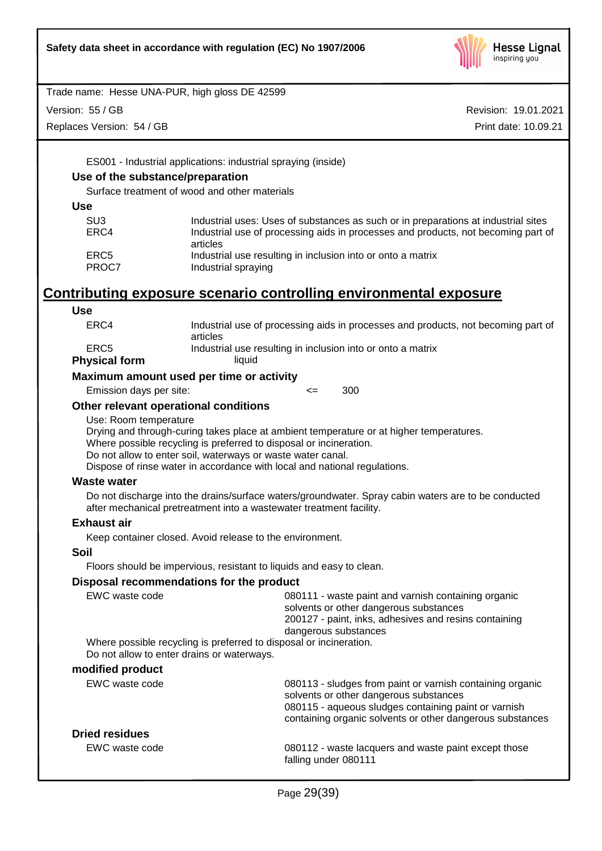

Version: 55 / GB

Replaces Version: 54 / GB

Revision: 19.01.2021 Print date: 10.09.21

ES001 - Industrial applications: industrial spraying (inside)

## **Use of the substance/preparation**

Surface treatment of wood and other materials

**Use**

| Industrial uses: Uses of substances as such or in preparations at industrial sites |
|------------------------------------------------------------------------------------|
| Industrial use of processing aids in processes and products, not becoming part of  |
| articles                                                                           |
| Industrial use resulting in inclusion into or onto a matrix                        |
| Industrial spraying                                                                |
|                                                                                    |

# **Contributing exposure scenario controlling environmental exposure**

| <b>Use</b>                                 |                                                                                                                                                                                                                                                                                                           |
|--------------------------------------------|-----------------------------------------------------------------------------------------------------------------------------------------------------------------------------------------------------------------------------------------------------------------------------------------------------------|
| ERC4                                       | Industrial use of processing aids in processes and products, not becoming part of<br>articles                                                                                                                                                                                                             |
| ERC <sub>5</sub>                           | Industrial use resulting in inclusion into or onto a matrix                                                                                                                                                                                                                                               |
| <b>Physical form</b>                       | liquid                                                                                                                                                                                                                                                                                                    |
| Maximum amount used per time or activity   |                                                                                                                                                                                                                                                                                                           |
| Emission days per site:                    | 300<br>$\leq$                                                                                                                                                                                                                                                                                             |
| Other relevant operational conditions      |                                                                                                                                                                                                                                                                                                           |
| Use: Room temperature                      | Drying and through-curing takes place at ambient temperature or at higher temperatures.<br>Where possible recycling is preferred to disposal or incineration.<br>Do not allow to enter soil, waterways or waste water canal.<br>Dispose of rinse water in accordance with local and national regulations. |
| <b>Waste water</b>                         |                                                                                                                                                                                                                                                                                                           |
|                                            | Do not discharge into the drains/surface waters/groundwater. Spray cabin waters are to be conducted<br>after mechanical pretreatment into a wastewater treatment facility.                                                                                                                                |
| <b>Exhaust air</b>                         |                                                                                                                                                                                                                                                                                                           |
|                                            | Keep container closed. Avoid release to the environment.                                                                                                                                                                                                                                                  |
| Soil                                       |                                                                                                                                                                                                                                                                                                           |
|                                            | Floors should be impervious, resistant to liquids and easy to clean.                                                                                                                                                                                                                                      |
|                                            | Disposal recommendations for the product                                                                                                                                                                                                                                                                  |
| EWC waste code                             | 080111 - waste paint and varnish containing organic<br>solvents or other dangerous substances<br>200127 - paint, inks, adhesives and resins containing<br>dangerous substances                                                                                                                            |
| Do not allow to enter drains or waterways. | Where possible recycling is preferred to disposal or incineration.                                                                                                                                                                                                                                        |
| modified product                           |                                                                                                                                                                                                                                                                                                           |
| EWC waste code                             | 080113 - sludges from paint or varnish containing organic<br>solvents or other dangerous substances<br>080115 - aqueous sludges containing paint or varnish<br>containing organic solvents or other dangerous substances                                                                                  |
| <b>Dried residues</b>                      |                                                                                                                                                                                                                                                                                                           |
| EWC waste code                             | 080112 - waste lacquers and waste paint except those<br>falling under 080111                                                                                                                                                                                                                              |
|                                            |                                                                                                                                                                                                                                                                                                           |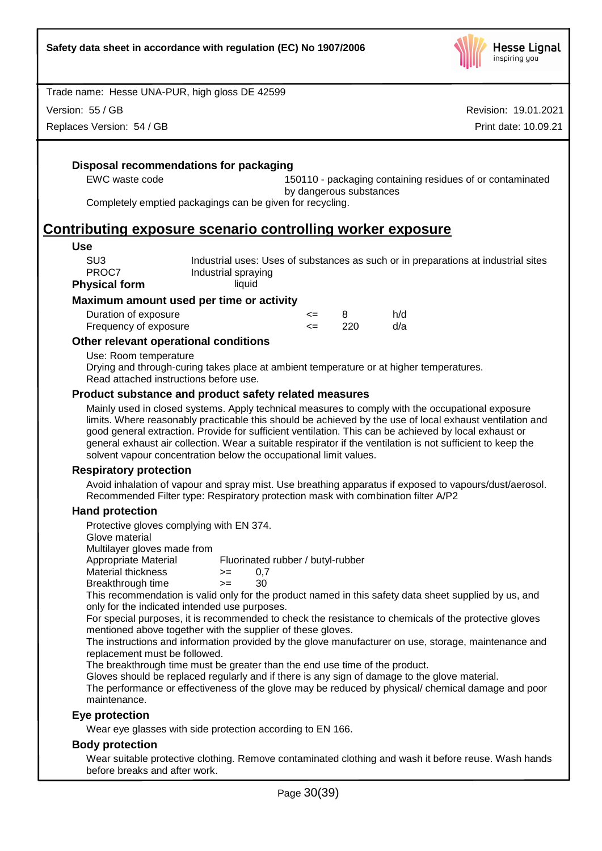

Version: 55 / GB

Replaces Version: 54 / GB

Revision: 19.01.2021 Print date: 10.09.21

## **Disposal recommendations for packaging**

EWC waste code 150110 - packaging containing residues of or contaminated by dangerous substances

Completely emptied packagings can be given for recycling.

## **Contributing exposure scenario controlling worker exposure**

#### **Use**

| SU3           | Industrial uses: Uses of substances as such or in preparations at industrial sites |
|---------------|------------------------------------------------------------------------------------|
| PROC7         | Industrial spraying                                                                |
| Physical form | liquid                                                                             |

#### **Maximum amount used per time or activity**

| Duration of exposure  | <= |     | h/d |
|-----------------------|----|-----|-----|
| Frequency of exposure |    | 220 | d/a |

## **Other relevant operational conditions**

Use: Room temperature

Drying and through-curing takes place at ambient temperature or at higher temperatures. Read attached instructions before use.

## **Product substance and product safety related measures**

Mainly used in closed systems. Apply technical measures to comply with the occupational exposure limits. Where reasonably practicable this should be achieved by the use of local exhaust ventilation and good general extraction. Provide for sufficient ventilation. This can be achieved by local exhaust or general exhaust air collection. Wear a suitable respirator if the ventilation is not sufficient to keep the solvent vapour concentration below the occupational limit values.

#### **Respiratory protection**

Avoid inhalation of vapour and spray mist. Use breathing apparatus if exposed to vapours/dust/aerosol. Recommended Filter type: Respiratory protection mask with combination filter A/P2

## **Hand protection**

Protective gloves complying with EN 374.

Glove material

Multilayer gloves made from<br>Appropriate Material

Fluorinated rubber / butyl-rubber

 $M$ aterial thickness  $> = 0.7$ 

Breakthrough time >= 30

This recommendation is valid only for the product named in this safety data sheet supplied by us, and only for the indicated intended use purposes.

For special purposes, it is recommended to check the resistance to chemicals of the protective gloves mentioned above together with the supplier of these gloves.

The instructions and information provided by the glove manufacturer on use, storage, maintenance and replacement must be followed.

The breakthrough time must be greater than the end use time of the product.

Gloves should be replaced regularly and if there is any sign of damage to the glove material.

The performance or effectiveness of the glove may be reduced by physical/ chemical damage and poor maintenance.

## **Eye protection**

Wear eye glasses with side protection according to EN 166.

## **Body protection**

Wear suitable protective clothing. Remove contaminated clothing and wash it before reuse. Wash hands before breaks and after work.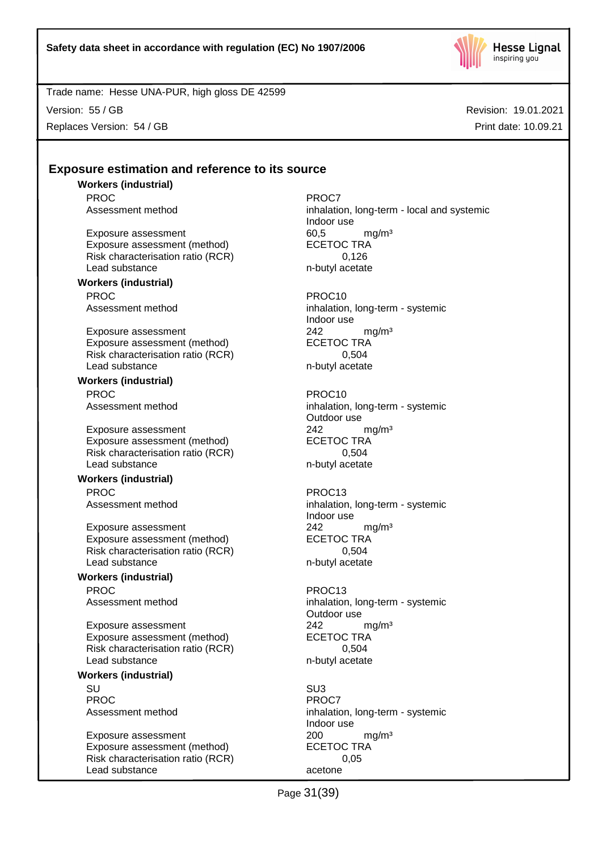

Version: 55 / GB

Replaces Version: 54 / GB

Revision: 19.01.2021 Print date: 10.09.21

## **Exposure estimation and reference to its source**

**Workers (industrial)** PROC PROCT PROCT PROCT

Exposure assessment 60,5 mg/m<sup>3</sup><br>Exposure assessment (method) ECETOC TRA Exposure assessment (method) Risk characterisation ratio (RCR) 0,126 Lead substance n-butyl acetate

#### **Workers (industrial)** PROC PROC10

Exposure assessment 242 mg/m<sup>3</sup> Exposure assessment (method) ECETOC TRA Risk characterisation ratio (RCR) 0,504 Lead substance n-butyl acetate

**Workers (industrial)** PROC PROC10

Exposure assessment<br>
Exposure assessment (method) 
<br>
ECETOC TRA Exposure assessment (method) Risk characterisation ratio (RCR) 0,504 Lead substance n-butyl acetate

## **Workers (industrial)**

PROC PROC13

Exposure assessment  $242$  mg/m<sup>3</sup><br>Exposure assessment (method) ECETOC TRA Exposure assessment (method) Risk characterisation ratio (RCR) 0,504 Lead substance n-butyl acetate

## **Workers (industrial)** PROC PROC13

Exposure assessment <br>
Exposure assessment (method) 
ECETOC TRA Exposure assessment (method) Risk characterisation ratio (RCR) 0,504 Lead substance n-butyl acetate

## **Workers (industrial)**

SU SU3 PROC<sup>PROC</sup> PROCT

Exposure assessment <br>
Exposure assessment (method) 
<br>
ECETOC TRA Exposure assessment (method) Risk characterisation ratio (RCR) 0,05 Lead substance acetone

Assessment method inhalation, long-term - local and systemic Indoor use

Assessment method inhalation, long-term - systemic Indoor use

Assessment method inhalation, long-term - systemic Outdoor use

Assessment method inhalation, long-term - systemic Indoor use

Assessment method inhalation, long-term - systemic Outdoor use

Assessment method inhalation, long-term - systemic Indoor use

Page 31(39)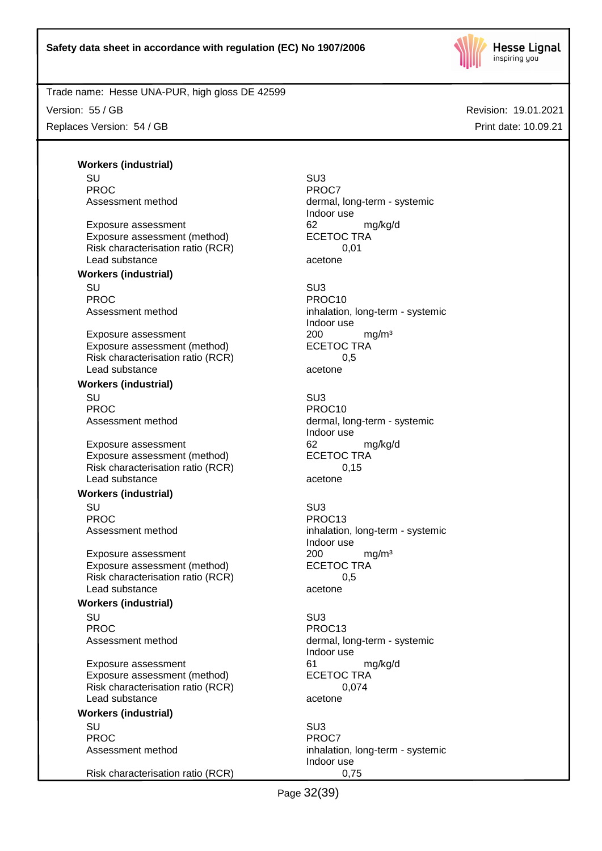

Version: 55 / GB

Replaces Version: 54 / GB

Revision: 19.01.2021 Print date: 10.09.21

**Workers (industrial)** SU SU3 PROC PROCT PROCT PROCT

Exposure assessment details are to the control of the exposure assessment (method) and the ECETOC TRA control of the exponent of the ECETOC TRA control of the exponent of the exponent of the exponent of the exponent of the Exposure assessment (method) Risk characterisation ratio (RCR) 0,01 Lead substance acetone

#### **Workers (industrial)**

SU SU3 PROC PROCTER PROCTER PROCTER PROCTER PROCTER PROCTER PROCTER PROCTER PROCTER PROCTER PROCTER PROCTER PROCTER PROCTER PROCTER PROCTER PROCTER PROCTER PROCTER PROCTER PROCTER PROCTER PROCTER PROCTER PROCTER PROCTER PROCTER P

Exposure assessment 200 mg/m<sup>3</sup> Exposure assessment (method) ECETOC TRA Risk characterisation ratio (RCR) 0,5 Lead substance acetone

## **Workers (industrial)**

SU SU3 PROC PROC10

Exposure assessment 62 mg/kg/d Exposure assessment (method) ECETOC TRA Risk characterisation ratio (RCR) 0,15 Lead substance acetone

#### **Workers (industrial)**

SU SU3 PROC PROC13

Exposure assessment <br>
Exposure assessment (method) 
<br>
ECETOC TRA Exposure assessment (method) Risk characterisation ratio (RCR) 0,5 Lead substance acetone

#### **Workers (industrial)**

SU SU3 PROC PROCTER PROCTER PROCTER PROCTER PROCTER PROCTER PROCTER PROCTER PROCTER PROCTER PROCTER PROCTER PROCTER PROCTER PROCTER PROCTER PROCTER PROCTER PROCTER PROCTER PROCTER PROCTER PROCTER PROCTER PROCTER PROCTER PROCTER P

Exposure assessment details are to the control of the manufacture of the manufacture of the manufacture of the<br>
ECETOC TRA Exposure assessment (method) Risk characterisation ratio (RCR) 0,074 Lead substance acetone

## **Workers (industrial)**

SU SU3 PROC<sup>PROC</sup> PROCT

Risk characterisation ratio (RCR) 0,75

Assessment method dermal, long-term - systemic Indoor use

Assessment method inhalation, long-term - systemic Indoor use

Assessment method dermal, long-term - systemic Indoor use

Assessment method inhalation, long-term - systemic Indoor use

Assessment method dermal, long-term - systemic Indoor use

Assessment method inhalation, long-term - systemic Indoor use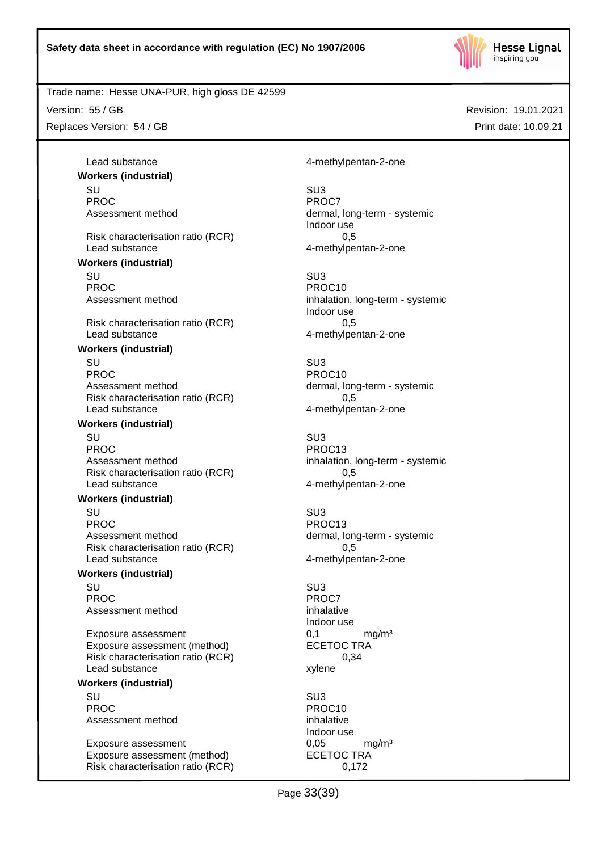

Trade name: Hesse UNA-PUR, high gloss DE 42599

Version: 55 / GB

Replaces Version: 54 / GB

Revision: 19.01.2021 Print date: 10.09.21

**Workers (industrial)** SU SU3 PROC<sup>PROC</sup> PROCT

Risk characterisation ratio (RCR) 0,5 Lead substance and the contract of the 4-methylpentan-2-one

**Workers (industrial)**

SU SU3 PROC<br>Assessment method<br>Assessment method<br>Assessment method

Risk characterisation ratio (RCR) 0,5 Lead substance and the 4-methylpentan-2-one

#### **Workers (industrial)**

SU SU3 PROC PROCTER PROCTER PROCTER PROCTER PROCTER PROCTER PROCTER PROCTER PROCTER PROCTER PROCTER PROCTER PROCTER PROCTER PROCTER PROCTER PROCTER PROCTER PROCTER PROCTER PROCTER PROCTER PROCTER PROCTER PROCTER PROCTER PROCTER P Assessment method dermal, long-term - systemic Risk characterisation ratio (RCR) 0,5 Lead substance example and the 4-methylpentan-2-one

#### **Workers (industrial)**

SU SU3 PROC PROC13 Assessment method inhalation, long-term - systemic Risk characterisation ratio (RCR) 0,5 Lead substance and the 4-methylpentan-2-one

## **Workers (industrial)**

SU SU3 PROC PROC13 Assessment method dermal, long-term - systemic Risk characterisation ratio (RCR) 0,5 Lead substance and the 4-methylpentan-2-one

#### **Workers (industrial)**

SU SU3 PROC<sup>P</sup> PROCT PROCT Assessment method inhalative

Exposure assessment 0,1 mg/m<sup>3</sup> Exposure assessment (method) ECETOC TRA Risk characterisation ratio (RCR) 0,34 Lead substance xylene

### **Workers (industrial)**

SU SU3 PROC PROCTER PROCTER PROCTER PROCTER PROCTER PROCTER PROCTER PROCTER PROCTER PROCTER PROCTER PROCTER PROCTER PROCTER PROCTER PROCTER PROCTER PROCTER PROCTER PROCTER PROCTER PROCTER PROCTER PROCTER PROCTER PROCTER PROCTER P Assessment method inhalative

Exposure assessment 0,05 mg/m<sup>3</sup> Exposure assessment (method) ECETOC TRA Risk characterisation ratio (RCR) 0,172

Lead substance and the 4-methylpentan-2-one

Assessment method dermal, long-term - systemic Indoor use

> inhalation, long-term - systemic Indoor use

Indoor use

Indoor use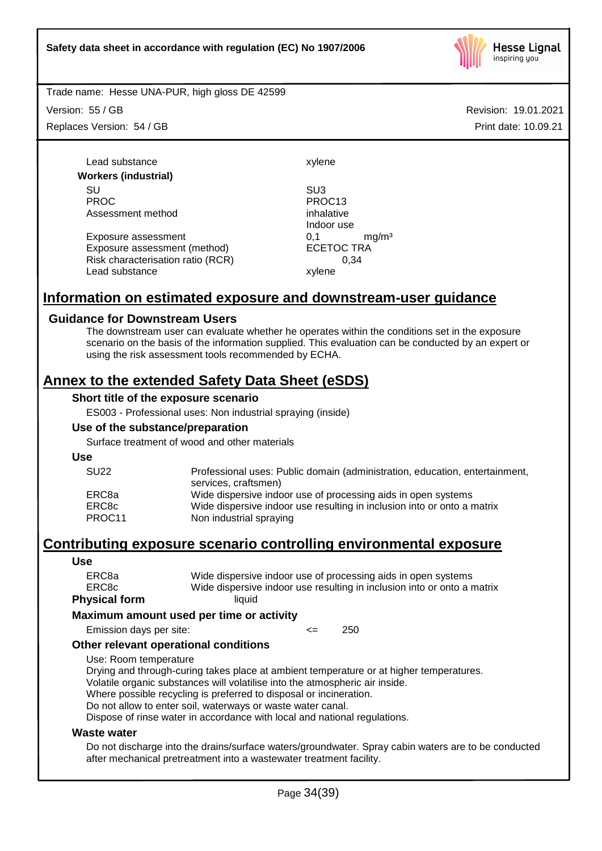

Version: 55 / GB

Replaces Version: 54 / GB

Revision: 19.01.2021 Print date: 10.09.21

Lead substance xylene **Workers (industrial)** SU SU3 PROC PROC13 Assessment method inhalative

Exposure assessment <br>
Exposure assessment (method) 
ECETOC TRA Exposure assessment (method) Risk characterisation ratio (RCR) 0,34 Lead substance xylene

Indoor use

## **Information on estimated exposure and downstream-user guidance**

## **Guidance for Downstream Users**

The downstream user can evaluate whether he operates within the conditions set in the exposure scenario on the basis of the information supplied. This evaluation can be conducted by an expert or using the risk assessment tools recommended by ECHA.

## **Annex to the extended Safety Data Sheet (eSDS)**

#### **Short title of the exposure scenario**

ES003 - Professional uses: Non industrial spraying (inside)

### **Use of the substance/preparation**

Surface treatment of wood and other materials

**Use**

| <b>SU22</b> | Professional uses: Public domain (administration, education, entertainment, |
|-------------|-----------------------------------------------------------------------------|
|             | services, craftsmen)                                                        |
| ERC8a       | Wide dispersive indoor use of processing aids in open systems               |
| ERC8c       | Wide dispersive indoor use resulting in inclusion into or onto a matrix     |
| PROC11      | Non industrial spraying                                                     |

## **Contributing exposure scenario controlling environmental exposure**

#### **Use**

| ERC8a         | Wide dispersive indoor use of processing aids in open systems           |
|---------------|-------------------------------------------------------------------------|
| ERC8c         | Wide dispersive indoor use resulting in inclusion into or onto a matrix |
| Physical form | liauid                                                                  |

#### **Maximum amount used per time or activity**

Emission days per site: <= 250

## **Other relevant operational conditions**

Use: Room temperature

Drying and through-curing takes place at ambient temperature or at higher temperatures. Volatile organic substances will volatilise into the atmospheric air inside.

Where possible recycling is preferred to disposal or incineration.

Do not allow to enter soil, waterways or waste water canal.

Dispose of rinse water in accordance with local and national regulations.

#### **Waste water**

Do not discharge into the drains/surface waters/groundwater. Spray cabin waters are to be conducted after mechanical pretreatment into a wastewater treatment facility.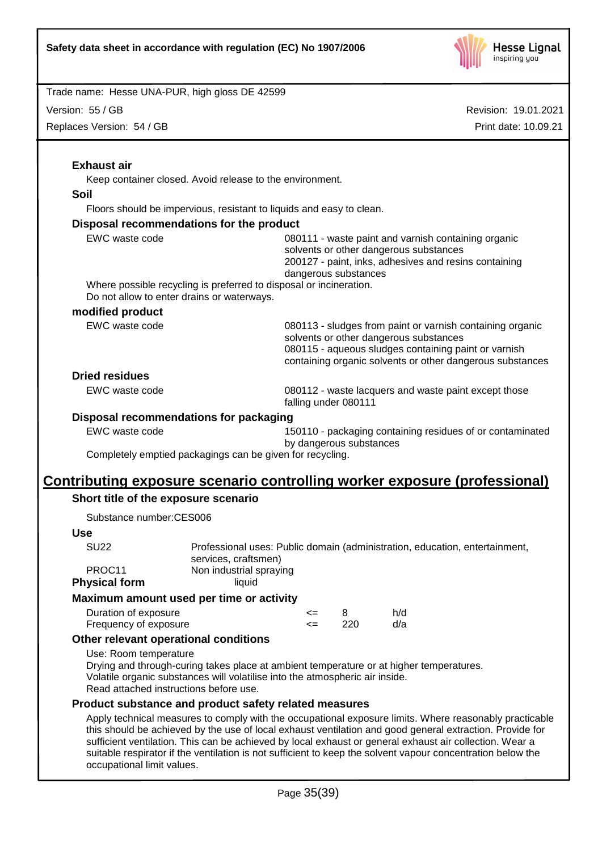

Version: 55 / GB

Replaces Version: 54 / GB

|                                               | Keep container closed. Avoid release to the environment.                                                                                                                                                                 |
|-----------------------------------------------|--------------------------------------------------------------------------------------------------------------------------------------------------------------------------------------------------------------------------|
| <b>Soil</b>                                   |                                                                                                                                                                                                                          |
|                                               | Floors should be impervious, resistant to liquids and easy to clean.                                                                                                                                                     |
|                                               | Disposal recommendations for the product                                                                                                                                                                                 |
| EWC waste code                                | 080111 - waste paint and varnish containing organic<br>solvents or other dangerous substances<br>200127 - paint, inks, adhesives and resins containing<br>dangerous substances                                           |
|                                               | Where possible recycling is preferred to disposal or incineration.<br>Do not allow to enter drains or waterways.                                                                                                         |
| modified product                              |                                                                                                                                                                                                                          |
| EWC waste code                                | 080113 - sludges from paint or varnish containing organic<br>solvents or other dangerous substances<br>080115 - aqueous sludges containing paint or varnish<br>containing organic solvents or other dangerous substances |
| <b>Dried residues</b>                         |                                                                                                                                                                                                                          |
| EWC waste code                                | 080112 - waste lacquers and waste paint except those<br>falling under 080111                                                                                                                                             |
|                                               | Disposal recommendations for packaging                                                                                                                                                                                   |
| EWC waste code                                | 150110 - packaging containing residues of or contaminated                                                                                                                                                                |
|                                               | by dangerous substances<br>Completely emptied packagings can be given for recycling.                                                                                                                                     |
|                                               | <u>Contributing exposure scenario controlling worker exposure (professional)</u>                                                                                                                                         |
|                                               | Short title of the exposure scenario                                                                                                                                                                                     |
|                                               |                                                                                                                                                                                                                          |
|                                               |                                                                                                                                                                                                                          |
| Substance number:CES006                       |                                                                                                                                                                                                                          |
| <b>Use</b><br><b>SU22</b>                     | Professional uses: Public domain (administration, education, entertainment,<br>services, craftsmen)                                                                                                                      |
| PROC11<br><b>Physical form</b>                | Non industrial spraying<br>liquid                                                                                                                                                                                        |
|                                               | Maximum amount used per time or activity                                                                                                                                                                                 |
| Duration of exposure<br>Frequency of exposure | h/d<br>8<br><=<br>220<br>d/a<br>$\leq$                                                                                                                                                                                   |
|                                               | Other relevant operational conditions                                                                                                                                                                                    |
| Use: Room temperature                         | Drying and through-curing takes place at ambient temperature or at higher temperatures.<br>Volatile organic substances will volatilise into the atmospheric air inside.<br>Read attached instructions before use.        |
|                                               | Product substance and product safety related measures                                                                                                                                                                    |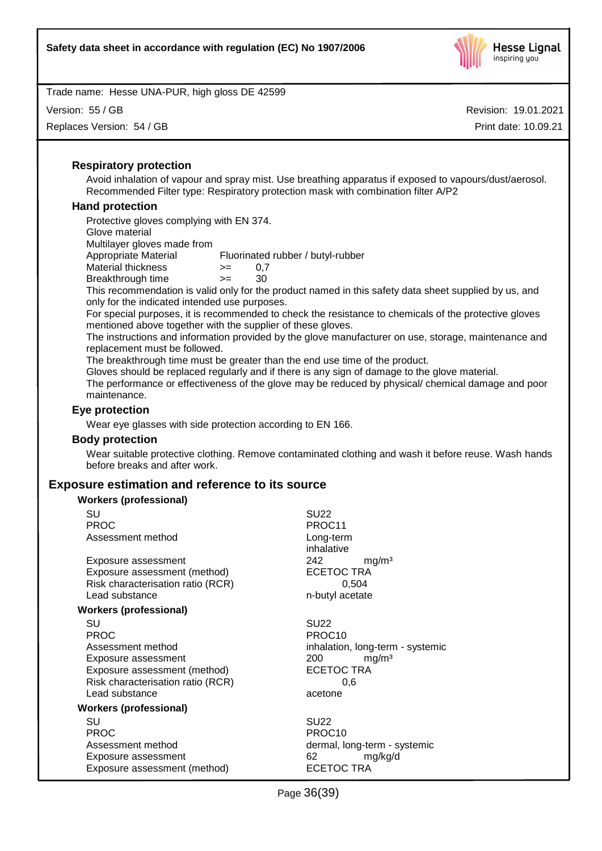

Version: 55 / GB

Replaces Version: 54 / GB

Revision: 19.01.2021 Print date: 10.09.21

## **Respiratory protection**

Avoid inhalation of vapour and spray mist. Use breathing apparatus if exposed to vapours/dust/aerosol. Recommended Filter type: Respiratory protection mask with combination filter A/P2

## **Hand protection**

Protective gloves complying with EN 374. Glove material Multilayer gloves made from Appropriate Material Fluorinated rubber / butyl-rubber Material thickness  $> = 0.7$ Breakthrough time >= 30

This recommendation is valid only for the product named in this safety data sheet supplied by us, and only for the indicated intended use purposes.

For special purposes, it is recommended to check the resistance to chemicals of the protective gloves mentioned above together with the supplier of these gloves.

The instructions and information provided by the glove manufacturer on use, storage, maintenance and replacement must be followed.

The breakthrough time must be greater than the end use time of the product.

Gloves should be replaced regularly and if there is any sign of damage to the glove material.

The performance or effectiveness of the glove may be reduced by physical/ chemical damage and poor maintenance.

## **Eye protection**

Wear eye glasses with side protection according to EN 166.

#### **Body protection**

Wear suitable protective clothing. Remove contaminated clothing and wash it before reuse. Wash hands before breaks and after work.

## **Exposure estimation and reference to its source**

| <b>Workers (professional)</b>     |                                  |
|-----------------------------------|----------------------------------|
| SU                                | <b>SU22</b>                      |
| <b>PROC</b>                       | PROC11                           |
| Assessment method                 | Long-term                        |
|                                   | inhalative                       |
| Exposure assessment               | 242<br>mg/m <sup>3</sup>         |
| Exposure assessment (method)      | <b>ECETOC TRA</b>                |
| Risk characterisation ratio (RCR) | 0,504                            |
| Lead substance                    | n-butyl acetate                  |
| <b>Workers (professional)</b>     |                                  |
| SU                                | <b>SU22</b>                      |
| <b>PROC</b>                       | PROC <sub>10</sub>               |
| Assessment method                 | inhalation, long-term - systemic |
| Exposure assessment               | mg/m <sup>3</sup><br>200         |
| Exposure assessment (method)      | <b>ECETOC TRA</b>                |
| Risk characterisation ratio (RCR) | 0.6                              |
| Lead substance                    | acetone                          |
| Workers (professional)            |                                  |
| SU                                | <b>SU22</b>                      |
| <b>PROC</b>                       | PROC <sub>10</sub>               |
| Assessment method                 | dermal, long-term - systemic     |
| Exposure assessment               | 62<br>mg/kg/d                    |
| Exposure assessment (method)      | ECETOC TRA                       |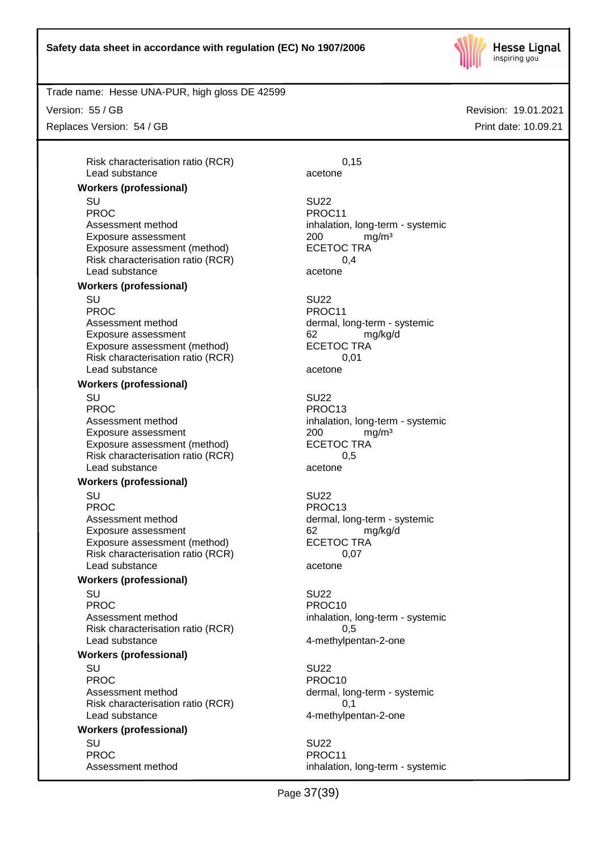

Trade name: Hesse UNA-PUR, high gloss DE 42599

Version: 55 / GB

Replaces Version: 54 / GB

Risk characterisation ratio (RCR) 6,15 Lead substance acetone

#### **Workers (professional)**

SU SU22 PROC PROCTER PROCTER PROCTER PROCTER PROCTER PROCTER PROCTER PROCTER PROCTER PROCTER PROCTER PROCTER PROCTER PROCTER PROCTER PROCTER PROCTER PROCTER PROCTER PROCTER PROCTER PROCTER PROCTER PROCTER PROCTER PROCTER PROCTER P Assessment method inhalation, long-term - systemic Exposure assessment <br>
Exposure assessment (method) 
<br>
ECETOC TRA Exposure assessment (method) Risk characterisation ratio (RCR) 0,4 Lead substance acetone

#### **Workers (professional)**

SU SU22 PROC PROCTER PROCTER PROCTER PROCTER PROCTER PROCTER PROCTER PROCTER PROCTER PROCTER PROCTER PROCTER PROCTER PROCTER PROCTER PROCTER PROCTER PROCTER PROCTER PROCTER PROCTER PROCTER PROCTER PROCTER PROCTER PROCTER PROCTER P Assessment method dermal, long-term - systemic Exposure assessment and the control of the control of the manuform of the manuform of the control of the manufo<br>
ECETOC TRA Exposure assessment (method) Risk characterisation ratio (RCR) 0,01 Lead substance acetone

## **Workers (professional)**

SU SU22 PROC PROC13 Assessment method inhalation, long-term - systemic Exposure assessment different control and the CDC management of the ECETOC TRA control assessment (method) Exposure assessment (method) Risk characterisation ratio (RCR) 0,5 Lead substance acetone

#### **Workers (professional)**

SU SU22

Assessment method dermal, long-term - systemic Exposure assessment and the control of the control of the manufacture of the manufacture of the form of the co<br>
ECETOC TRA Exposure assessment (method) Risk characterisation ratio (RCR) 0,07 Lead substance acetone

## **Workers (professional)**

SU SU22 PROC PROCTES PROCTES PROCTES Assessment method inhalation, long-term - systemic Risk characterisation ratio (RCR) 6.5 Lead substance and the 4-methylpentan-2-one

#### **Workers (professional)**

SU SU22 PROC PROCTER PROCTER PROCTER PROCTER PROCTER PROCTER PROCTER PROCTER PROCTER PROCTER PROCTER PROCTER PROCTER PROCTER PROCTER PROCTER PROCTER PROCTER PROCTER PROCTER PROCTER PROCTER PROCTER PROCTER PROCTER PROCTER PROCTER P Assessment method dermal, long-term - systemic Risk characterisation ratio (RCR) 0,1 Lead substance and the 4-methylpentan-2-one

#### **Workers (professional)** SU SU22

PROC PROCTER PROCTER PROCTER PROCTER PROCTER PROCTER PROCTER PROCTER PROCTER PROCTER PROCTER PROCTER PROCTER PROCTER PROCTER PROCTER PROCTER PROCTER PROCTER PROCTER PROCTER PROCTER PROCTER PROCTER PROCTER PROCTER PROCTER P

PROC PROC13

Assessment method inhalation, long-term - systemic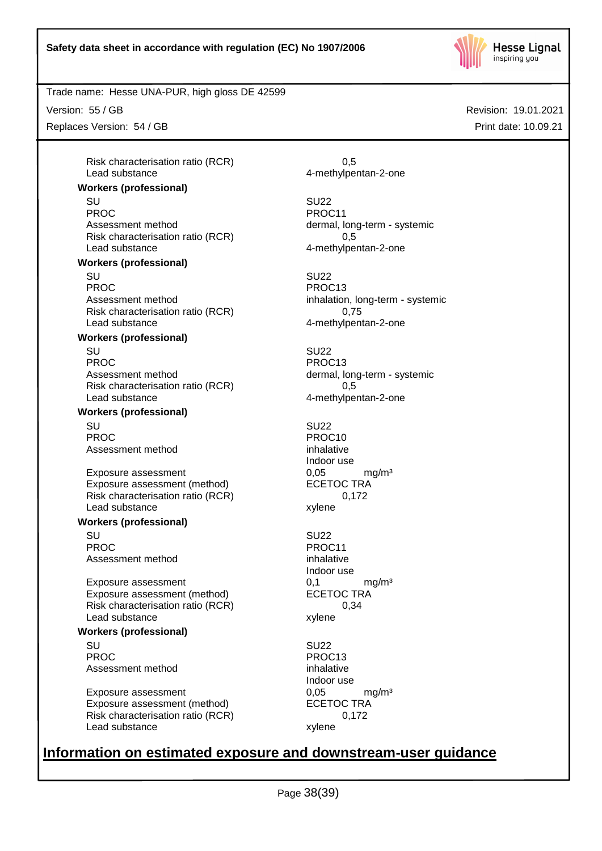

Trade name: Hesse UNA-PUR, high gloss DE 42599

Version: 55 / GB

Replaces Version: 54 / GB

Risk characterisation ratio (RCR) 6.5 Lead substance 4-methylpentan-2-one

## **Workers (professional)**

SU SU22 PROC PROC11 Assessment method dermal, long-term - systemic Risk characterisation ratio (RCR) 0,5 Lead substance example and the 4-methylpentan-2-one

#### **Workers (professional)**

SU SU22 PROC PROC13 Assessment method inhalation, long-term - systemic Risk characterisation ratio (RCR) 0,75 Lead substance and the 4-methylpentan-2-one

## **Workers (professional)**

SU SU22 PROC PROC13 Assessment method dermal, long-term - systemic Risk characterisation ratio (RCR) 0,5 Lead substance and the 4-methylpentan-2-one

## **Workers (professional)**

SU SU22 PROC PROCTES PROCTES Assessment method inhalative

Exposure assessment 
and the exposure assessment (method) 
and the exposure assessment (method) 
ECETOC TRA Exposure assessment (method) Risk characterisation ratio (RCR) 0,172 Lead substance xylene

#### **Workers (professional)**

SU SU22 PROC PROCTER PROC11 Assessment method inhalative

Exposure assessment  $0,1$  mg/m<sup>3</sup><br>Exposure assessment (method) ECETOC TRA Exposure assessment (method) Risk characterisation ratio (RCR) 0,34 Lead substance xylene

#### **Workers (professional)**

SU SU22 PROC PROC13 Assessment method inhalative

Exposure assessment  $0,05$  mg/m<sup>3</sup><br>Exposure assessment (method) ECETOC TRA Exposure assessment (method) Risk characterisation ratio (RCR) 0,172 Lead substance xylene

Indoor use

Indoor use

Indoor use

# **Information on estimated exposure and downstream-user guidance**